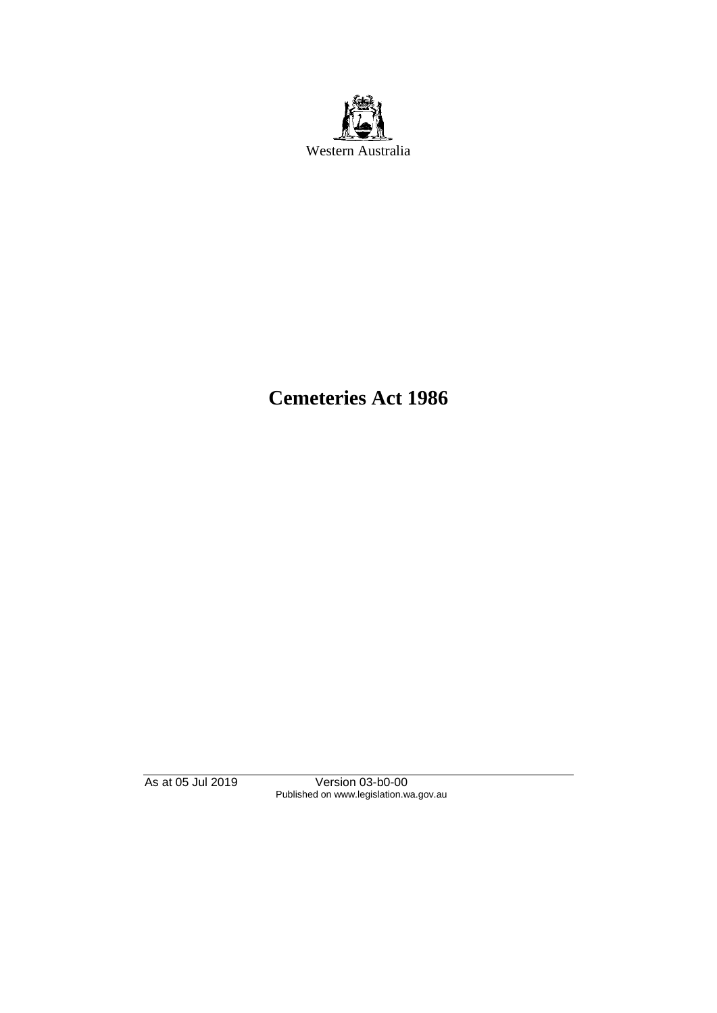

# **Cemeteries Act 1986**

As at 05 Jul 2019 Version 03-b0-00 Published on www.legislation.wa.gov.au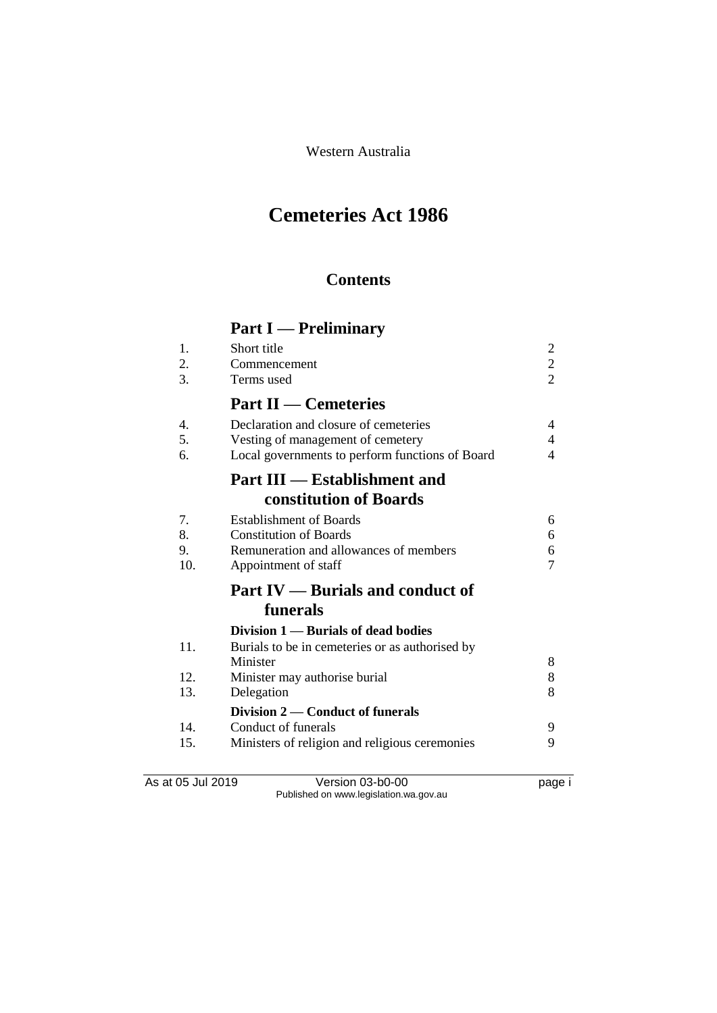Western Australia

# **Cemeteries Act 1986**

# **Contents**

# **Part I — Preliminary**

| 1.<br>2. | Short title<br>Commencement                     | $\overline{c}$<br>$\overline{c}$ |
|----------|-------------------------------------------------|----------------------------------|
| 3.       | Terms used                                      | $\overline{2}$                   |
|          | <b>Part II — Cemeteries</b>                     |                                  |
| 4.       | Declaration and closure of cemeteries           | 4                                |
| 5.       | Vesting of management of cemetery               | 4                                |
| 6.       | Local governments to perform functions of Board | 4                                |
|          | <b>Part III — Establishment and</b>             |                                  |
|          | constitution of Boards                          |                                  |
| 7.       | <b>Establishment of Boards</b>                  | 6                                |
| 8.       | <b>Constitution of Boards</b>                   | 6                                |
| 9.       | Remuneration and allowances of members          | 6                                |
| 10.      | Appointment of staff                            | 7                                |
|          | <b>Part IV — Burials and conduct of</b>         |                                  |
|          | funerals                                        |                                  |
|          | Division 1 — Burials of dead bodies             |                                  |
| 11.      | Burials to be in cemeteries or as authorised by |                                  |
|          | Minister                                        | 8                                |
| 12.      | Minister may authorise burial                   | 8                                |
| 13.      | Delegation                                      | 8                                |
|          | Division 2 — Conduct of funerals                |                                  |
| 14.      | Conduct of funerals                             | 9                                |
| 15.      | Ministers of religion and religious ceremonies  | 9                                |
|          |                                                 |                                  |

As at 05 Jul 2019 Version 03-b0-00 page i Published on www.legislation.wa.gov.au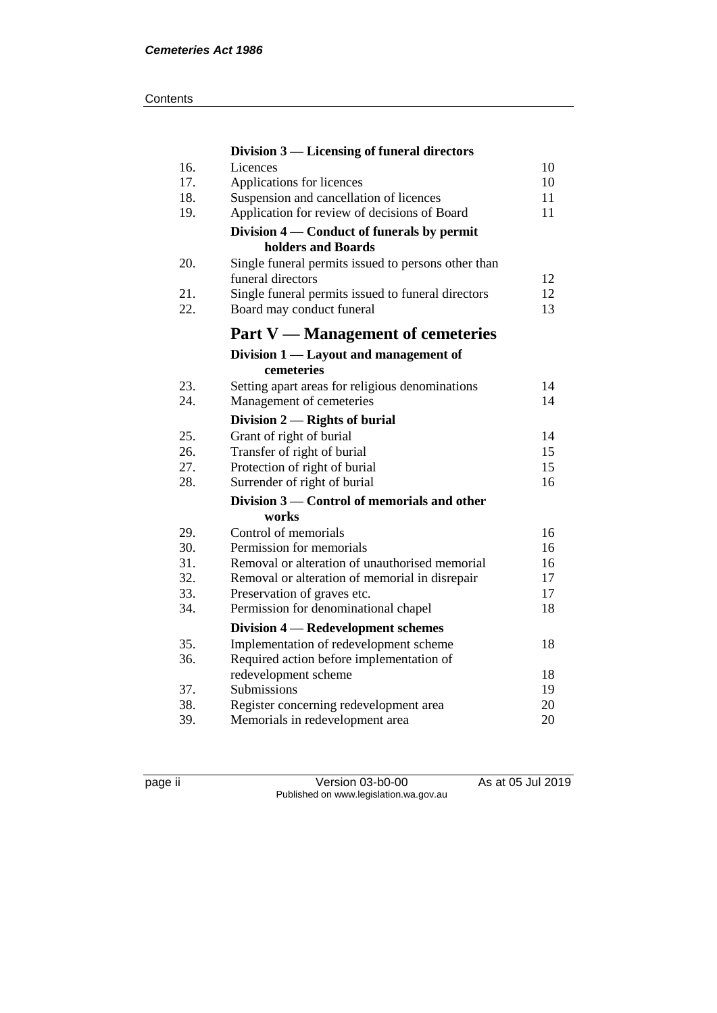|     | Division 3 — Licensing of funeral directors                              |    |
|-----|--------------------------------------------------------------------------|----|
| 16. | Licences                                                                 | 10 |
| 17. | Applications for licences                                                | 10 |
| 18. | Suspension and cancellation of licences                                  | 11 |
| 19. | Application for review of decisions of Board                             | 11 |
|     | Division 4 – Conduct of funerals by permit                               |    |
|     | holders and Boards                                                       |    |
| 20. | Single funeral permits issued to persons other than<br>funeral directors | 12 |
| 21. | Single funeral permits issued to funeral directors                       | 12 |
| 22. | Board may conduct funeral                                                | 13 |
|     | <b>Part V</b> — Management of cemeteries                                 |    |
|     | Division 1 — Layout and management of                                    |    |
|     | cemeteries                                                               |    |
| 23. | Setting apart areas for religious denominations                          | 14 |
| 24. | Management of cemeteries                                                 | 14 |
|     | Division 2 — Rights of burial                                            |    |
| 25. | Grant of right of burial                                                 | 14 |
| 26. | Transfer of right of burial                                              | 15 |
| 27. | Protection of right of burial                                            | 15 |
| 28. | Surrender of right of burial                                             | 16 |
|     | Division 3 — Control of memorials and other                              |    |
|     | works                                                                    |    |
| 29. | Control of memorials                                                     | 16 |
| 30. | Permission for memorials                                                 | 16 |
| 31. | Removal or alteration of unauthorised memorial                           | 16 |
| 32. | Removal or alteration of memorial in disrepair                           | 17 |
| 33. | Preservation of graves etc.                                              | 17 |
| 34. | Permission for denominational chapel                                     | 18 |
|     | Division 4 – Redevelopment schemes                                       |    |
| 35. | Implementation of redevelopment scheme                                   | 18 |
| 36. | Required action before implementation of                                 |    |
|     | redevelopment scheme                                                     | 18 |
| 37. | Submissions                                                              | 19 |
| 38. | Register concerning redevelopment area                                   | 20 |
| 39. | Memorials in redevelopment area                                          | 20 |

page ii Version 03-b0-00 As at 05 Jul 2019 Published on www.legislation.wa.gov.au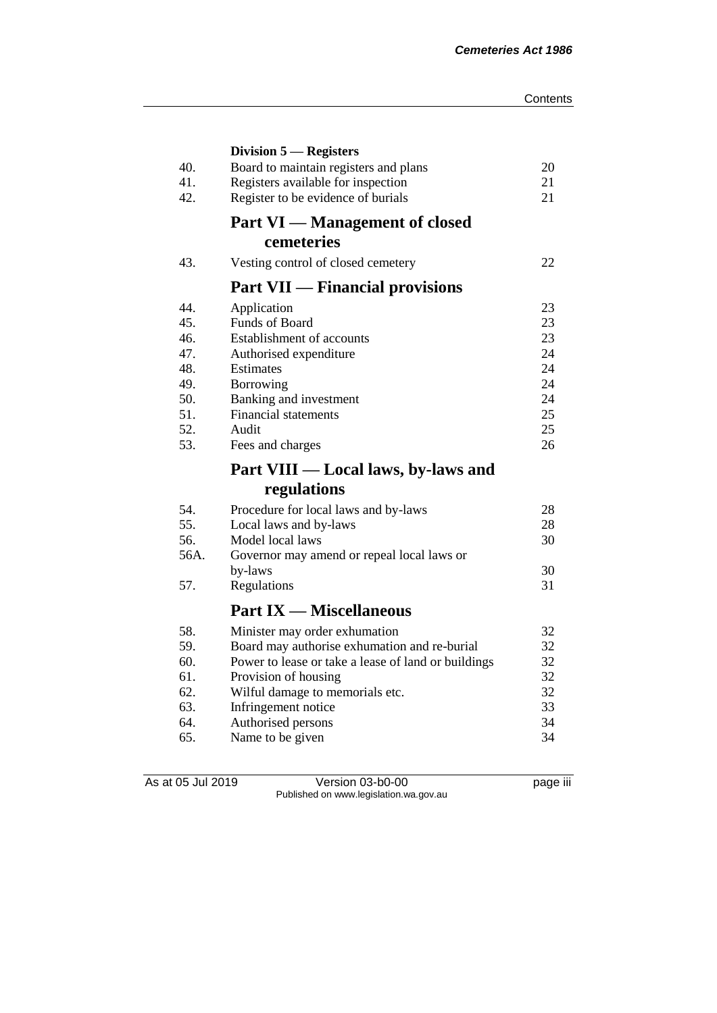|      | Division 5 – Registers                              |    |
|------|-----------------------------------------------------|----|
| 40.  | Board to maintain registers and plans               | 20 |
| 41.  | Registers available for inspection                  | 21 |
| 42.  | Register to be evidence of burials                  | 21 |
|      | <b>Part VI</b> — Management of closed               |    |
|      | cemeteries                                          |    |
| 43.  | Vesting control of closed cemetery                  | 22 |
|      | <b>Part VII</b> — Financial provisions              |    |
| 44.  | Application                                         | 23 |
| 45.  | <b>Funds of Board</b>                               | 23 |
| 46.  | Establishment of accounts                           | 23 |
| 47.  | Authorised expenditure                              | 24 |
| 48.  | Estimates                                           | 24 |
| 49.  | Borrowing                                           | 24 |
| 50.  | Banking and investment                              | 24 |
| 51.  | <b>Financial statements</b>                         | 25 |
| 52.  | Audit                                               | 25 |
| 53.  | Fees and charges                                    | 26 |
|      | Part VIII — Local laws, by-laws and                 |    |
|      | regulations                                         |    |
| 54.  | Procedure for local laws and by-laws                | 28 |
| 55.  | Local laws and by-laws                              | 28 |
| 56.  | Model local laws                                    | 30 |
| 56A. | Governor may amend or repeal local laws or          |    |
|      | by-laws                                             | 30 |
| 57.  | Regulations                                         | 31 |
|      | <b>Part IX — Miscellaneous</b>                      |    |
| 58.  | Minister may order exhumation                       | 32 |
| 59.  | Board may authorise exhumation and re-burial        | 32 |
| 60.  | Power to lease or take a lease of land or buildings | 32 |
| 61.  | Provision of housing                                | 32 |
| 62.  |                                                     |    |
|      | Wilful damage to memorials etc.                     | 32 |
| 63.  | Infringement notice                                 | 33 |
| 64.  |                                                     | 34 |
| 65.  | Authorised persons<br>Name to be given              | 34 |

As at 05 Jul 2019 Version 03-b0-00 page iii Published on www.legislation.wa.gov.au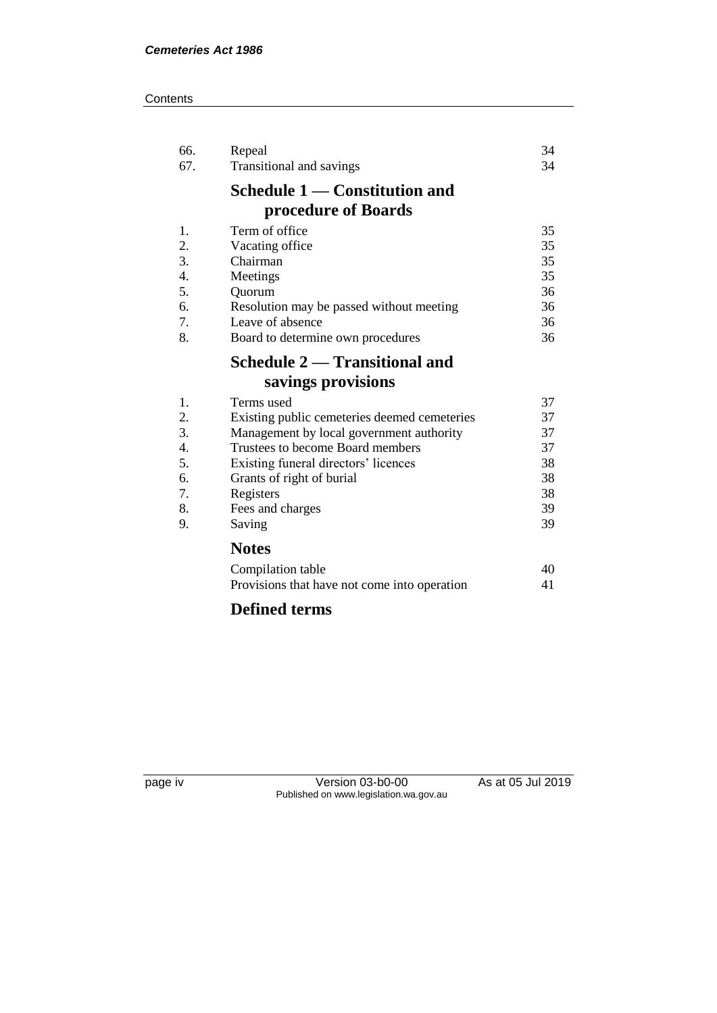#### **Contents**

| 66.<br>67. | Repeal<br>Transitional and savings           | 34<br>34 |
|------------|----------------------------------------------|----------|
|            | Schedule 1 — Constitution and                |          |
|            | procedure of Boards                          |          |
| 1.         | Term of office                               | 35       |
| 2.         | Vacating office                              | 35       |
| 3.         | Chairman                                     | 35       |
| 4.         | Meetings                                     | 35       |
| 5.         | Quorum                                       | 36       |
| 6.         | Resolution may be passed without meeting     | 36       |
| 7.         | Leave of absence                             | 36       |
| 8.         | Board to determine own procedures            | 36       |
|            | Schedule 2 — Transitional and                |          |
|            | savings provisions                           |          |
| 1.         | Terms used                                   | 37       |
| 2.         | Existing public cemeteries deemed cemeteries | 37       |
| 3.         | Management by local government authority     | 37       |
| 4.         | Trustees to become Board members             | 37       |
| 5.         | Existing funeral directors' licences         | 38       |
| 6.         | Grants of right of burial                    | 38       |
| 7.         | Registers                                    | 38       |
| 8.         | Fees and charges                             | 39       |
| 9.         | Saving                                       | 39       |
|            | <b>Notes</b>                                 |          |
|            | Compilation table                            | 40       |
|            | Provisions that have not come into operation | 41       |
|            | <b>Defined terms</b>                         |          |

page iv Version 03-b0-00 As at 05 Jul 2019 Published on www.legislation.wa.gov.au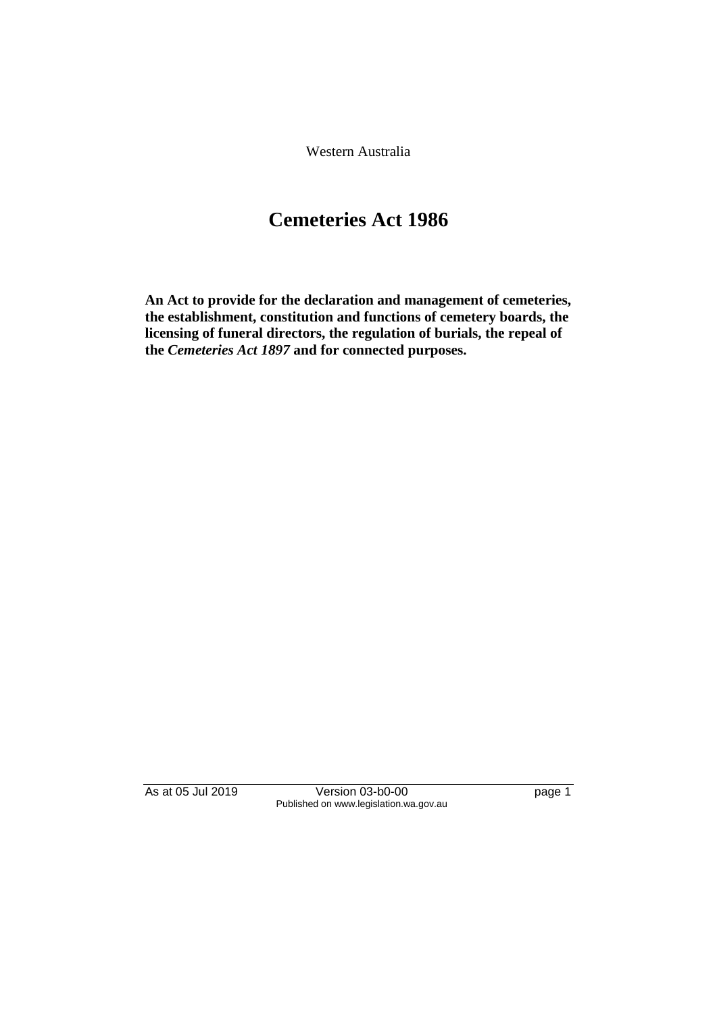Western Australia

# **Cemeteries Act 1986**

**An Act to provide for the declaration and management of cemeteries, the establishment, constitution and functions of cemetery boards, the licensing of funeral directors, the regulation of burials, the repeal of the** *Cemeteries Act 1897* **and for connected purposes.** 

As at 05 Jul 2019 Version 03-b0-00 page 1 Published on www.legislation.wa.gov.au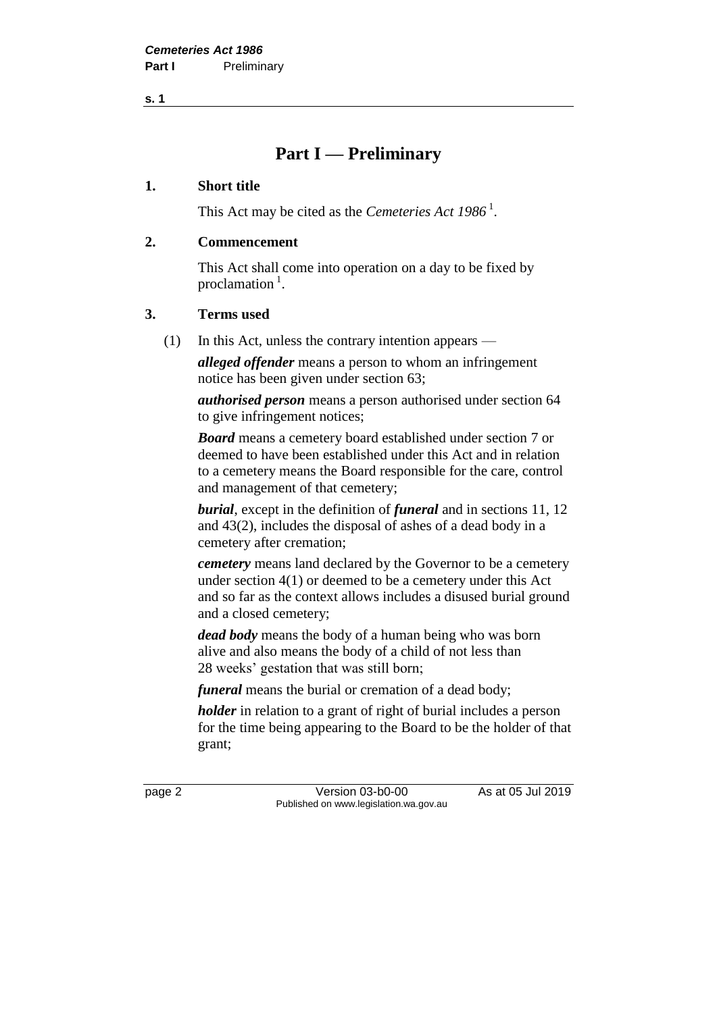**s. 1**

# **Part I — Preliminary**

### **1. Short title**

This Act may be cited as the *Cemeteries Act* 1986<sup>1</sup>.

# **2. Commencement**

This Act shall come into operation on a day to be fixed by proclamation<sup>1</sup>.

# **3. Terms used**

(1) In this Act, unless the contrary intention appears —

*alleged offender* means a person to whom an infringement notice has been given under section 63;

*authorised person* means a person authorised under section 64 to give infringement notices;

*Board* means a cemetery board established under section 7 or deemed to have been established under this Act and in relation to a cemetery means the Board responsible for the care, control and management of that cemetery;

*burial*, except in the definition of *funeral* and in sections 11, 12 and 43(2), includes the disposal of ashes of a dead body in a cemetery after cremation;

*cemetery* means land declared by the Governor to be a cemetery under section 4(1) or deemed to be a cemetery under this Act and so far as the context allows includes a disused burial ground and a closed cemetery;

*dead body* means the body of a human being who was born alive and also means the body of a child of not less than 28 weeks' gestation that was still born;

*funeral* means the burial or cremation of a dead body;

*holder* in relation to a grant of right of burial includes a person for the time being appearing to the Board to be the holder of that grant;

page 2 Version 03-b0-00 As at 05 Jul 2019 Published on www.legislation.wa.gov.au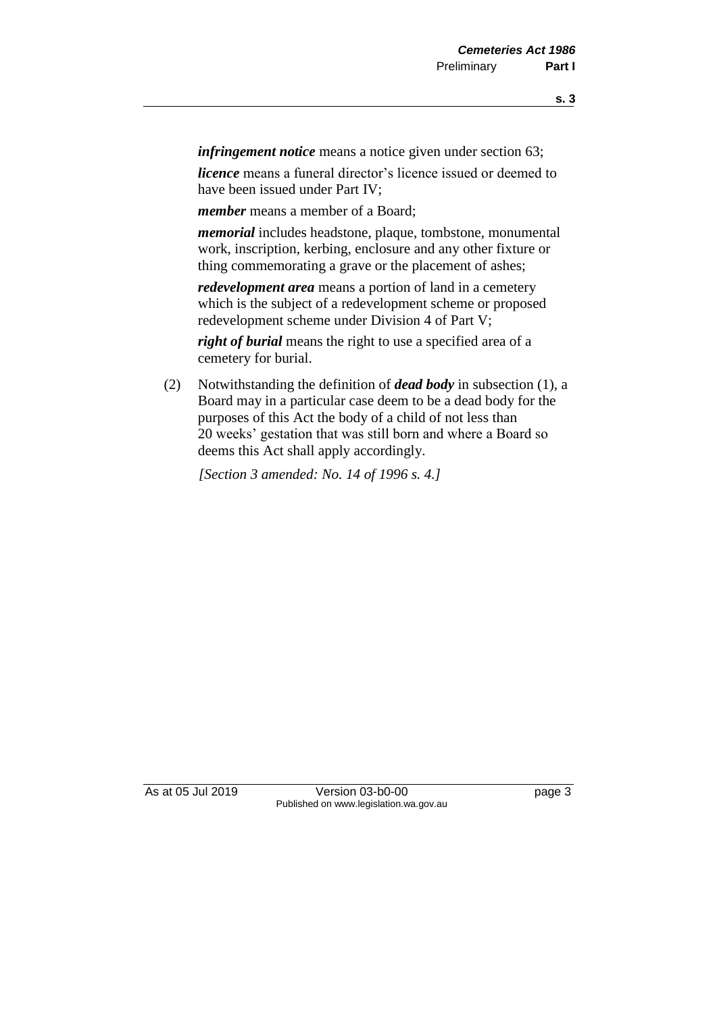*infringement notice* means a notice given under section 63;

*licence* means a funeral director's licence issued or deemed to have been issued under Part IV;

*member* means a member of a Board;

*memorial* includes headstone, plaque, tombstone, monumental work, inscription, kerbing, enclosure and any other fixture or thing commemorating a grave or the placement of ashes;

*redevelopment area* means a portion of land in a cemetery which is the subject of a redevelopment scheme or proposed redevelopment scheme under Division 4 of Part V;

*right of burial* means the right to use a specified area of a cemetery for burial.

(2) Notwithstanding the definition of *dead body* in subsection (1), a Board may in a particular case deem to be a dead body for the purposes of this Act the body of a child of not less than 20 weeks' gestation that was still born and where a Board so deems this Act shall apply accordingly.

*[Section 3 amended: No. 14 of 1996 s. 4.]* 

As at 05 Jul 2019 Version 03-b0-00 Page 3 Published on www.legislation.wa.gov.au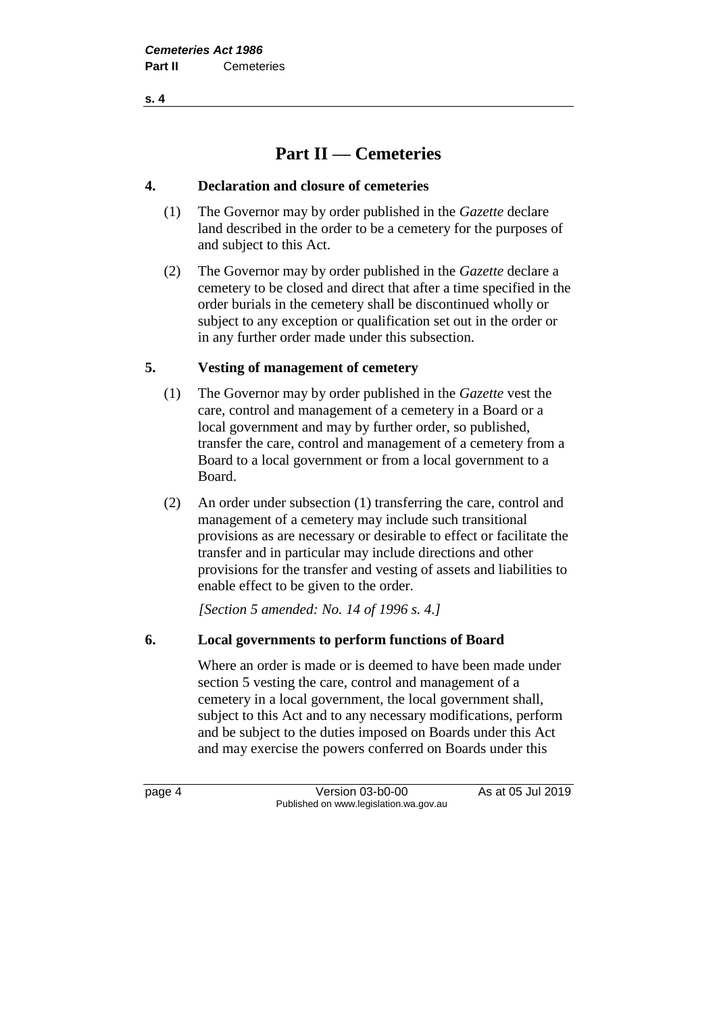**s. 4**

# **Part II — Cemeteries**

# **4. Declaration and closure of cemeteries**

- (1) The Governor may by order published in the *Gazette* declare land described in the order to be a cemetery for the purposes of and subject to this Act.
- (2) The Governor may by order published in the *Gazette* declare a cemetery to be closed and direct that after a time specified in the order burials in the cemetery shall be discontinued wholly or subject to any exception or qualification set out in the order or in any further order made under this subsection.

# **5. Vesting of management of cemetery**

- (1) The Governor may by order published in the *Gazette* vest the care, control and management of a cemetery in a Board or a local government and may by further order, so published, transfer the care, control and management of a cemetery from a Board to a local government or from a local government to a Board.
- (2) An order under subsection (1) transferring the care, control and management of a cemetery may include such transitional provisions as are necessary or desirable to effect or facilitate the transfer and in particular may include directions and other provisions for the transfer and vesting of assets and liabilities to enable effect to be given to the order.

*[Section 5 amended: No. 14 of 1996 s. 4.]* 

# **6. Local governments to perform functions of Board**

Where an order is made or is deemed to have been made under section 5 vesting the care, control and management of a cemetery in a local government, the local government shall, subject to this Act and to any necessary modifications, perform and be subject to the duties imposed on Boards under this Act and may exercise the powers conferred on Boards under this

page 4 Version 03-b0-00 As at 05 Jul 2019 Published on www.legislation.wa.gov.au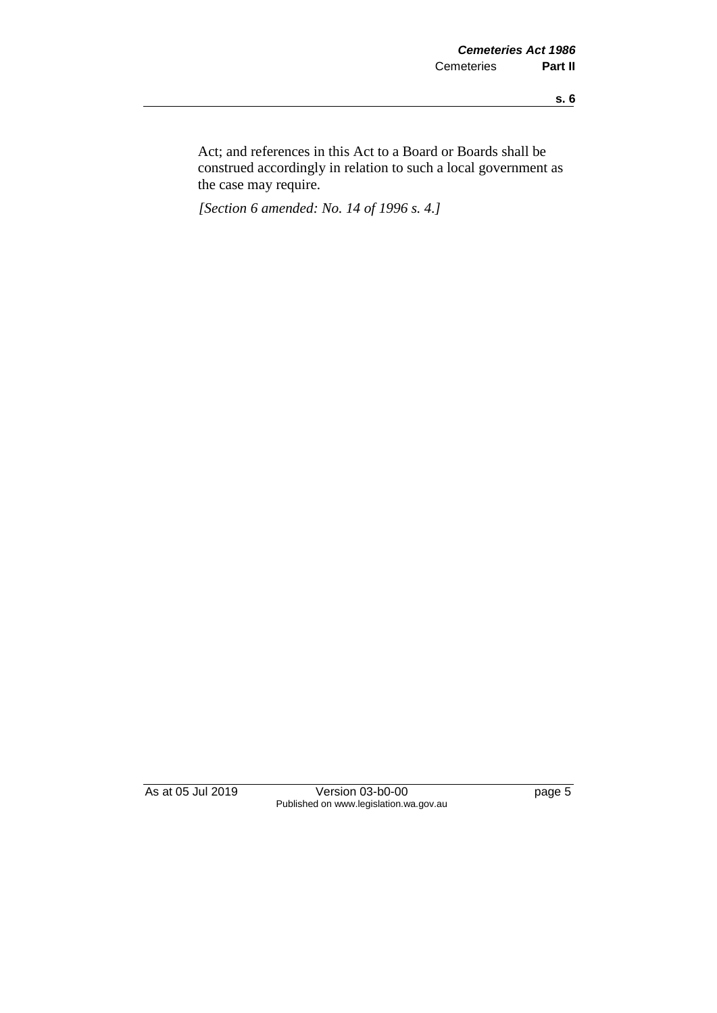Act; and references in this Act to a Board or Boards shall be construed accordingly in relation to such a local government as the case may require.

*[Section 6 amended: No. 14 of 1996 s. 4.]* 

As at 05 Jul 2019 Version 03-b0-00 page 5 Published on www.legislation.wa.gov.au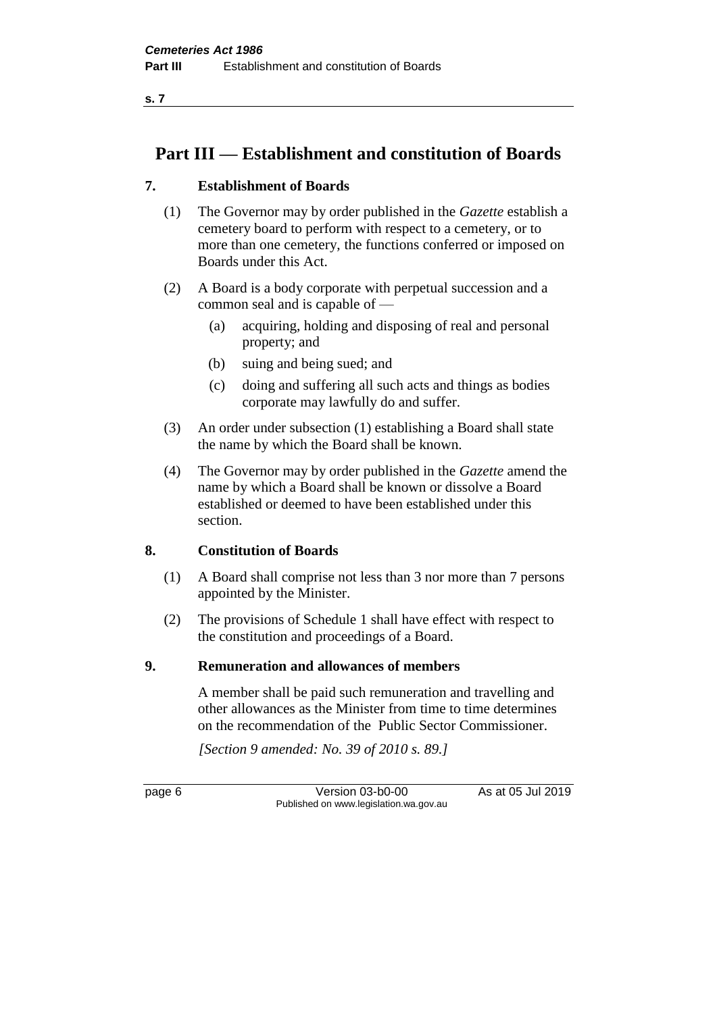# **Part III — Establishment and constitution of Boards**

# **7. Establishment of Boards**

- (1) The Governor may by order published in the *Gazette* establish a cemetery board to perform with respect to a cemetery, or to more than one cemetery, the functions conferred or imposed on Boards under this Act.
- (2) A Board is a body corporate with perpetual succession and a common seal and is capable of —
	- (a) acquiring, holding and disposing of real and personal property; and
	- (b) suing and being sued; and
	- (c) doing and suffering all such acts and things as bodies corporate may lawfully do and suffer.
- (3) An order under subsection (1) establishing a Board shall state the name by which the Board shall be known.
- (4) The Governor may by order published in the *Gazette* amend the name by which a Board shall be known or dissolve a Board established or deemed to have been established under this section.

# **8. Constitution of Boards**

- (1) A Board shall comprise not less than 3 nor more than 7 persons appointed by the Minister.
- (2) The provisions of Schedule 1 shall have effect with respect to the constitution and proceedings of a Board.

# **9. Remuneration and allowances of members**

A member shall be paid such remuneration and travelling and other allowances as the Minister from time to time determines on the recommendation of the Public Sector Commissioner.

*[Section 9 amended: No. 39 of 2010 s. 89.]*

page 6 Version 03-b0-00 As at 05 Jul 2019 Published on www.legislation.wa.gov.au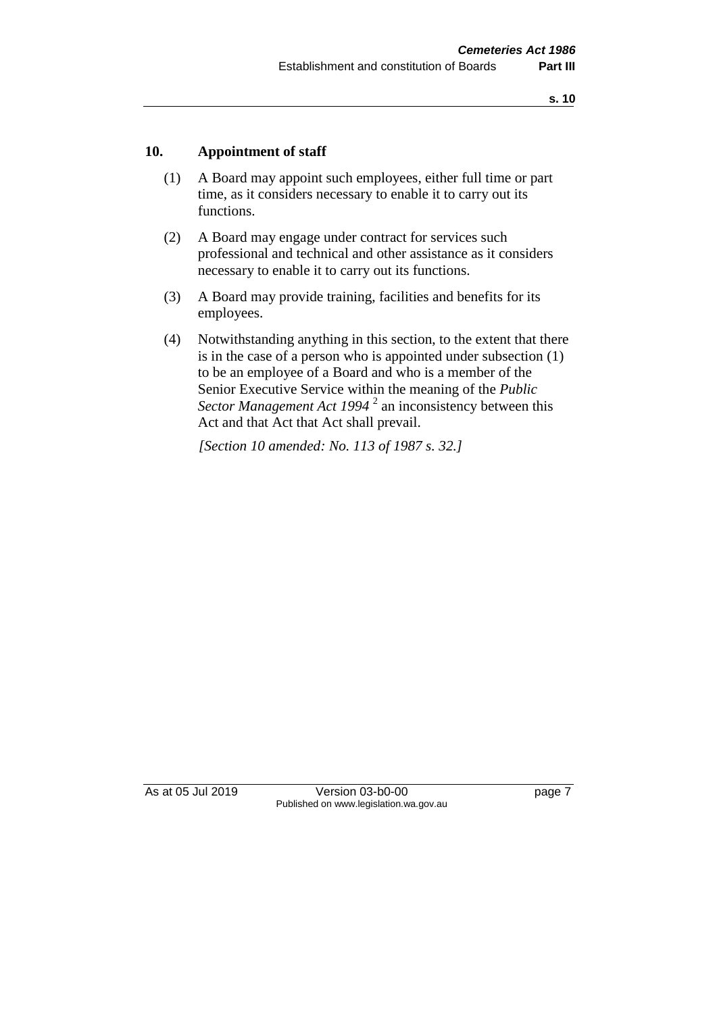# **10. Appointment of staff**

- (1) A Board may appoint such employees, either full time or part time, as it considers necessary to enable it to carry out its functions.
- (2) A Board may engage under contract for services such professional and technical and other assistance as it considers necessary to enable it to carry out its functions.
- (3) A Board may provide training, facilities and benefits for its employees.
- (4) Notwithstanding anything in this section, to the extent that there is in the case of a person who is appointed under subsection (1) to be an employee of a Board and who is a member of the Senior Executive Service within the meaning of the *Public Sector Management Act 1994* <sup>2</sup> an inconsistency between this Act and that Act that Act shall prevail.

*[Section 10 amended: No. 113 of 1987 s. 32.]* 

As at 05 Jul 2019 Version 03-b0-00 page 7 Published on www.legislation.wa.gov.au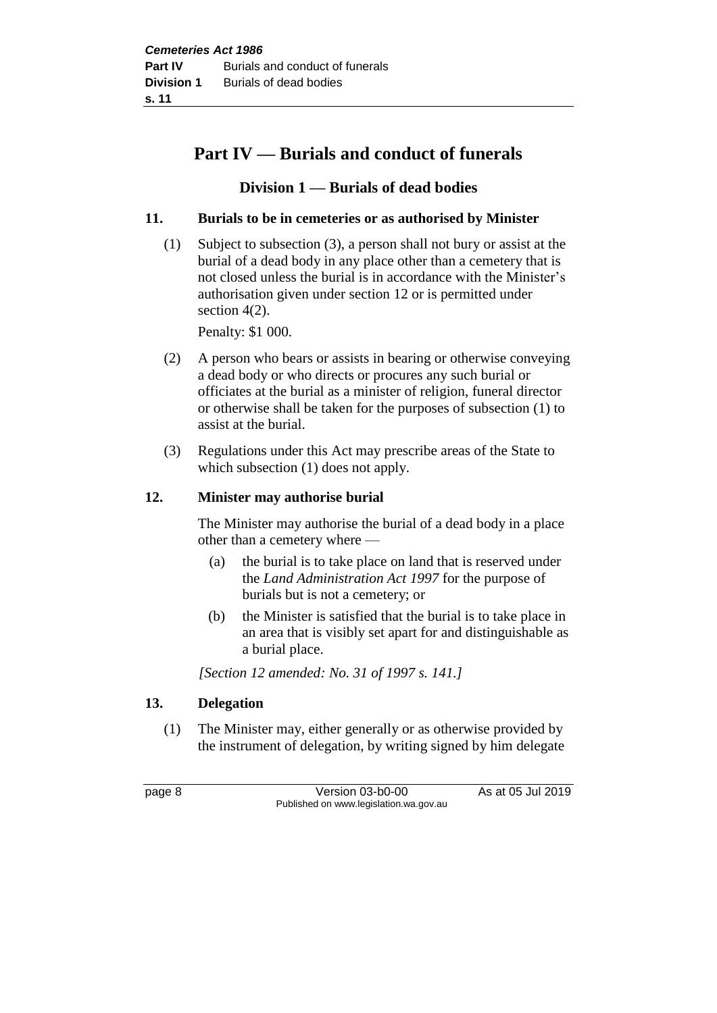# **Part IV — Burials and conduct of funerals**

# **Division 1 — Burials of dead bodies**

# **11. Burials to be in cemeteries or as authorised by Minister**

(1) Subject to subsection (3), a person shall not bury or assist at the burial of a dead body in any place other than a cemetery that is not closed unless the burial is in accordance with the Minister's authorisation given under section 12 or is permitted under section 4(2).

Penalty: \$1 000.

- (2) A person who bears or assists in bearing or otherwise conveying a dead body or who directs or procures any such burial or officiates at the burial as a minister of religion, funeral director or otherwise shall be taken for the purposes of subsection (1) to assist at the burial.
- (3) Regulations under this Act may prescribe areas of the State to which subsection (1) does not apply.

# **12. Minister may authorise burial**

The Minister may authorise the burial of a dead body in a place other than a cemetery where —

- (a) the burial is to take place on land that is reserved under the *Land Administration Act 1997* for the purpose of burials but is not a cemetery; or
- (b) the Minister is satisfied that the burial is to take place in an area that is visibly set apart for and distinguishable as a burial place.

*[Section 12 amended: No. 31 of 1997 s. 141.]*

# **13. Delegation**

(1) The Minister may, either generally or as otherwise provided by the instrument of delegation, by writing signed by him delegate

page 8 Version 03-b0-00 As at 05 Jul 2019 Published on www.legislation.wa.gov.au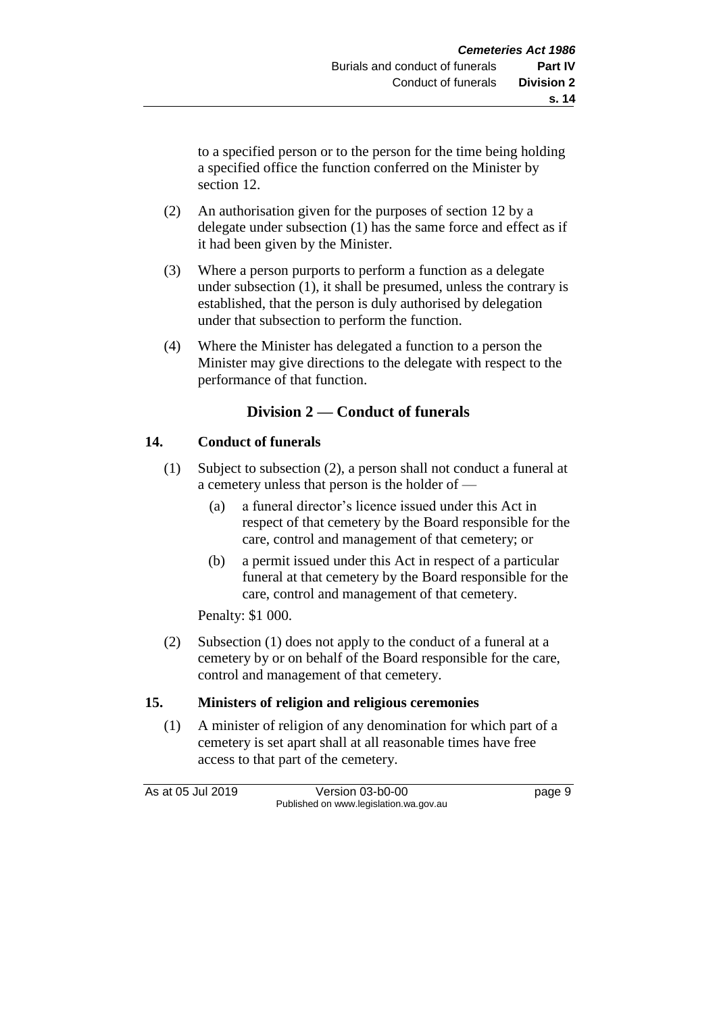to a specified person or to the person for the time being holding a specified office the function conferred on the Minister by section 12.

- (2) An authorisation given for the purposes of section 12 by a delegate under subsection (1) has the same force and effect as if it had been given by the Minister.
- (3) Where a person purports to perform a function as a delegate under subsection (1), it shall be presumed, unless the contrary is established, that the person is duly authorised by delegation under that subsection to perform the function.
- (4) Where the Minister has delegated a function to a person the Minister may give directions to the delegate with respect to the performance of that function.

# **Division 2 — Conduct of funerals**

# **14. Conduct of funerals**

- (1) Subject to subsection (2), a person shall not conduct a funeral at a cemetery unless that person is the holder of —
	- (a) a funeral director's licence issued under this Act in respect of that cemetery by the Board responsible for the care, control and management of that cemetery; or
	- (b) a permit issued under this Act in respect of a particular funeral at that cemetery by the Board responsible for the care, control and management of that cemetery.

Penalty: \$1 000.

(2) Subsection (1) does not apply to the conduct of a funeral at a cemetery by or on behalf of the Board responsible for the care, control and management of that cemetery.

### **15. Ministers of religion and religious ceremonies**

(1) A minister of religion of any denomination for which part of a cemetery is set apart shall at all reasonable times have free access to that part of the cemetery.

As at 05 Jul 2019 Version 03-b0-00 Page 9 Published on www.legislation.wa.gov.au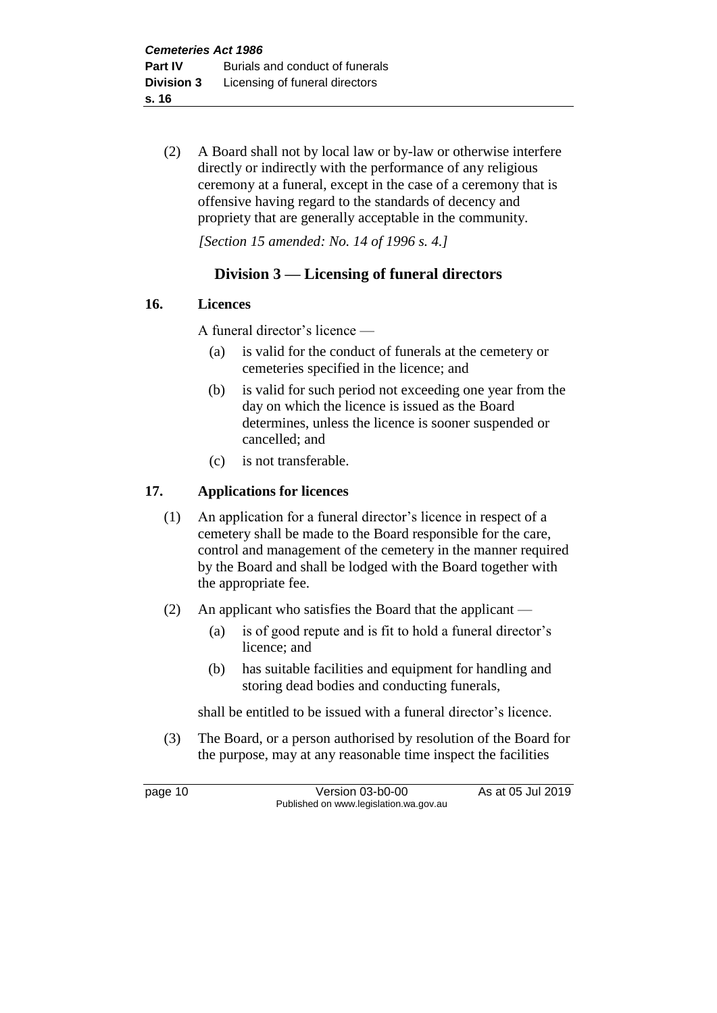(2) A Board shall not by local law or by-law or otherwise interfere directly or indirectly with the performance of any religious ceremony at a funeral, except in the case of a ceremony that is offensive having regard to the standards of decency and propriety that are generally acceptable in the community.

*[Section 15 amended: No. 14 of 1996 s. 4.]* 

# **Division 3 — Licensing of funeral directors**

# **16. Licences**

A funeral director's licence —

- (a) is valid for the conduct of funerals at the cemetery or cemeteries specified in the licence; and
- (b) is valid for such period not exceeding one year from the day on which the licence is issued as the Board determines, unless the licence is sooner suspended or cancelled; and
- (c) is not transferable.

# **17. Applications for licences**

- (1) An application for a funeral director's licence in respect of a cemetery shall be made to the Board responsible for the care, control and management of the cemetery in the manner required by the Board and shall be lodged with the Board together with the appropriate fee.
- (2) An applicant who satisfies the Board that the applicant
	- (a) is of good repute and is fit to hold a funeral director's licence; and
	- (b) has suitable facilities and equipment for handling and storing dead bodies and conducting funerals,

shall be entitled to be issued with a funeral director's licence.

(3) The Board, or a person authorised by resolution of the Board for the purpose, may at any reasonable time inspect the facilities

page 10 Version 03-b0-00 As at 05 Jul 2019 Published on www.legislation.wa.gov.au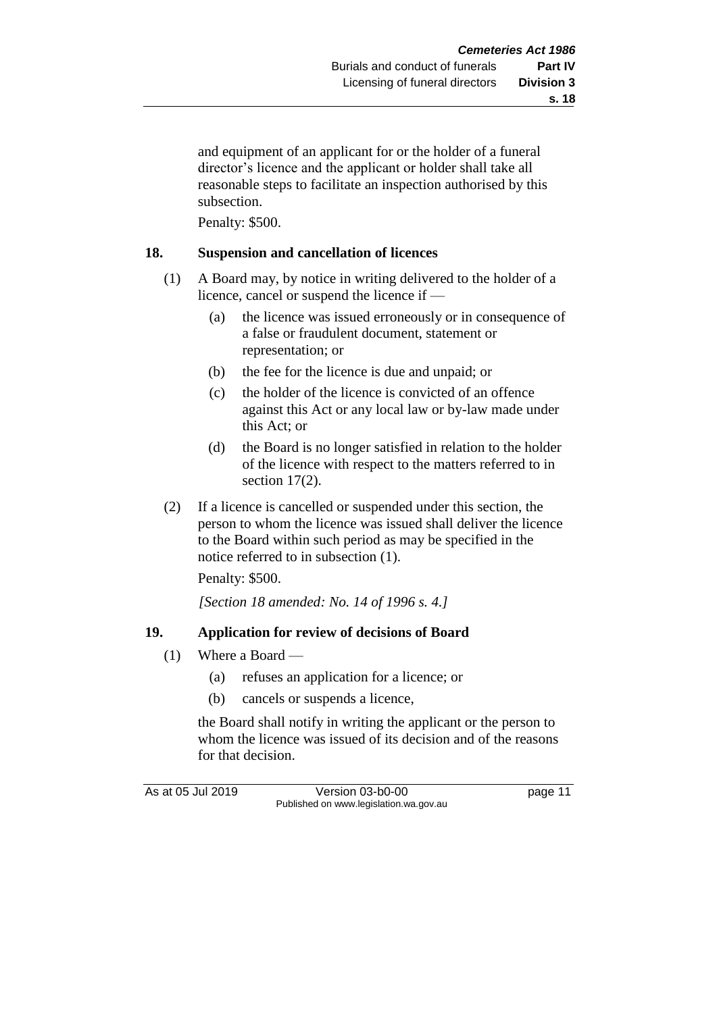and equipment of an applicant for or the holder of a funeral director's licence and the applicant or holder shall take all reasonable steps to facilitate an inspection authorised by this subsection.

Penalty: \$500.

# **18. Suspension and cancellation of licences**

- (1) A Board may, by notice in writing delivered to the holder of a licence, cancel or suspend the licence if —
	- (a) the licence was issued erroneously or in consequence of a false or fraudulent document, statement or representation; or
	- (b) the fee for the licence is due and unpaid; or
	- (c) the holder of the licence is convicted of an offence against this Act or any local law or by-law made under this Act; or
	- (d) the Board is no longer satisfied in relation to the holder of the licence with respect to the matters referred to in section 17(2).
- (2) If a licence is cancelled or suspended under this section, the person to whom the licence was issued shall deliver the licence to the Board within such period as may be specified in the notice referred to in subsection (1).

Penalty: \$500.

*[Section 18 amended: No. 14 of 1996 s. 4.]* 

# **19. Application for review of decisions of Board**

- (1) Where a Board
	- (a) refuses an application for a licence; or
	- (b) cancels or suspends a licence,

the Board shall notify in writing the applicant or the person to whom the licence was issued of its decision and of the reasons for that decision.

As at 05 Jul 2019 Version 03-b0-00 page 11 Published on www.legislation.wa.gov.au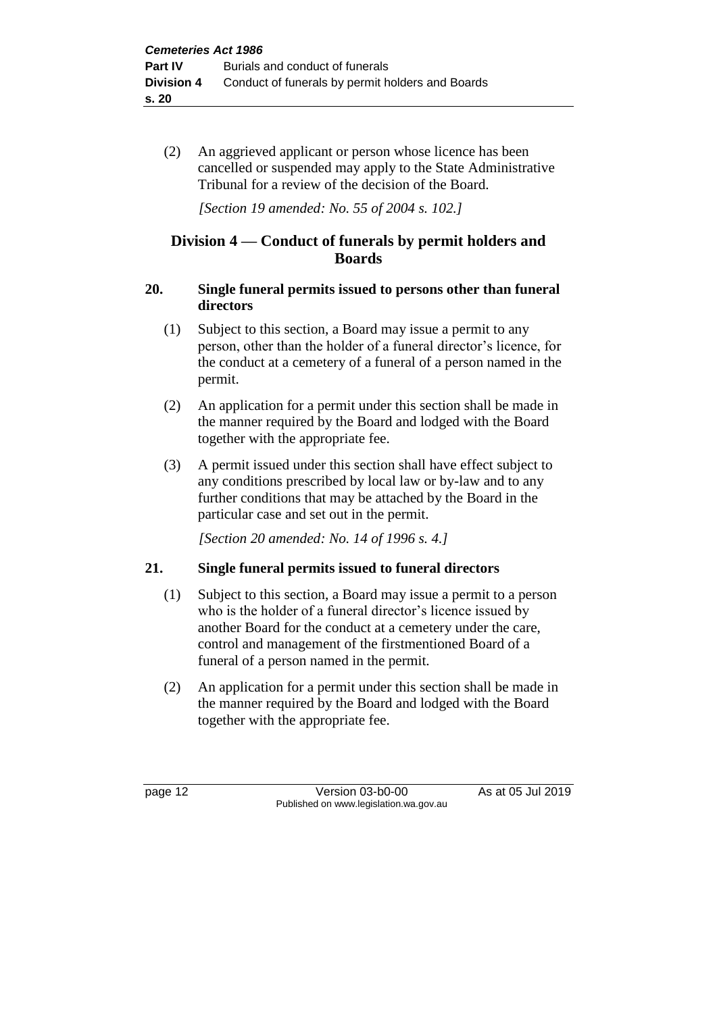(2) An aggrieved applicant or person whose licence has been cancelled or suspended may apply to the State Administrative Tribunal for a review of the decision of the Board.

*[Section 19 amended: No. 55 of 2004 s. 102.]*

# **Division 4 — Conduct of funerals by permit holders and Boards**

# **20. Single funeral permits issued to persons other than funeral directors**

- (1) Subject to this section, a Board may issue a permit to any person, other than the holder of a funeral director's licence, for the conduct at a cemetery of a funeral of a person named in the permit.
- (2) An application for a permit under this section shall be made in the manner required by the Board and lodged with the Board together with the appropriate fee.
- (3) A permit issued under this section shall have effect subject to any conditions prescribed by local law or by-law and to any further conditions that may be attached by the Board in the particular case and set out in the permit.

*[Section 20 amended: No. 14 of 1996 s. 4.]* 

# **21. Single funeral permits issued to funeral directors**

- (1) Subject to this section, a Board may issue a permit to a person who is the holder of a funeral director's licence issued by another Board for the conduct at a cemetery under the care, control and management of the firstmentioned Board of a funeral of a person named in the permit.
- (2) An application for a permit under this section shall be made in the manner required by the Board and lodged with the Board together with the appropriate fee.

page 12 Version 03-b0-00 As at 05 Jul 2019 Published on www.legislation.wa.gov.au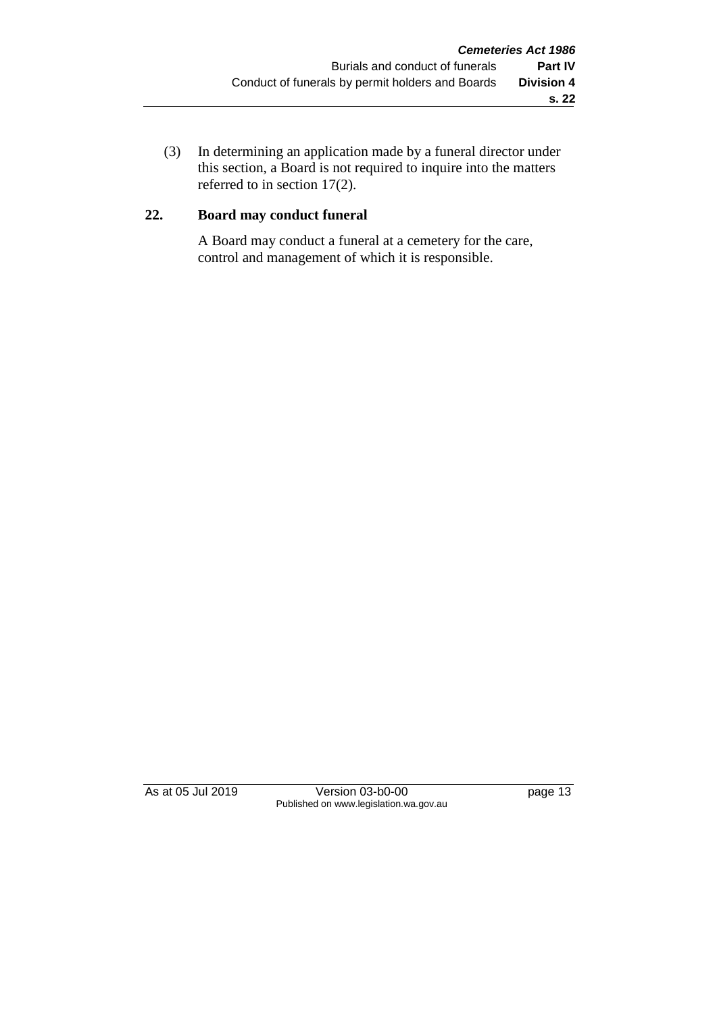(3) In determining an application made by a funeral director under this section, a Board is not required to inquire into the matters referred to in section 17(2).

# **22. Board may conduct funeral**

A Board may conduct a funeral at a cemetery for the care, control and management of which it is responsible.

As at 05 Jul 2019 Version 03-b0-00 page 13 Published on www.legislation.wa.gov.au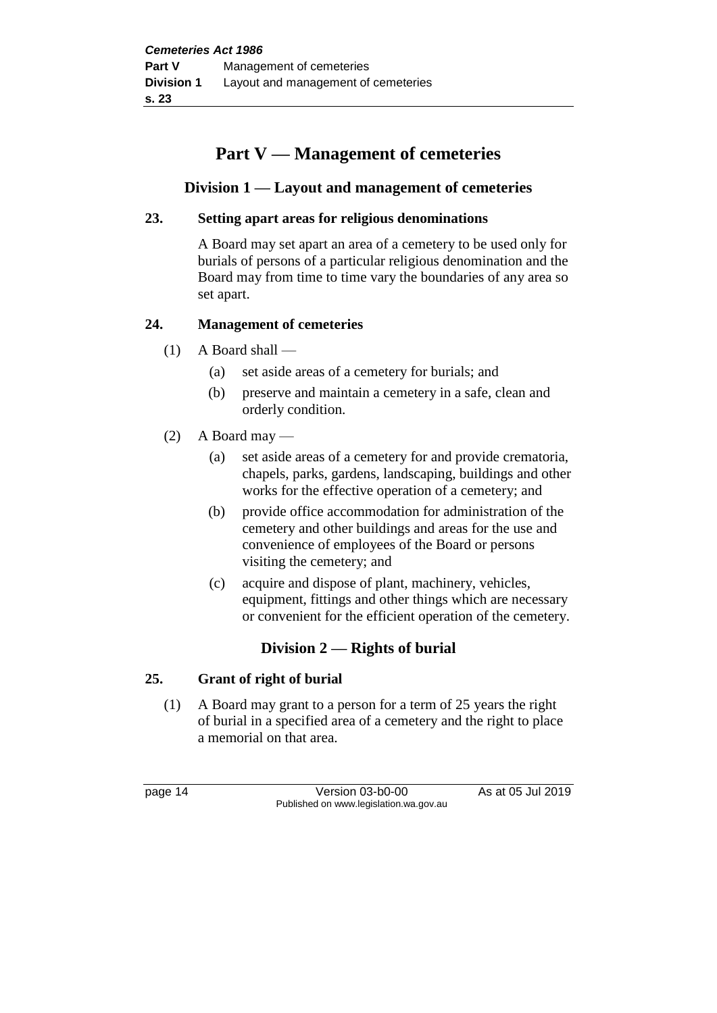# **Part V — Management of cemeteries**

# **Division 1 — Layout and management of cemeteries**

# **23. Setting apart areas for religious denominations**

A Board may set apart an area of a cemetery to be used only for burials of persons of a particular religious denomination and the Board may from time to time vary the boundaries of any area so set apart.

# **24. Management of cemeteries**

- (1) A Board shall
	- (a) set aside areas of a cemetery for burials; and
	- (b) preserve and maintain a cemetery in a safe, clean and orderly condition.
- $(2)$  A Board may
	- (a) set aside areas of a cemetery for and provide crematoria, chapels, parks, gardens, landscaping, buildings and other works for the effective operation of a cemetery; and
	- (b) provide office accommodation for administration of the cemetery and other buildings and areas for the use and convenience of employees of the Board or persons visiting the cemetery; and
	- (c) acquire and dispose of plant, machinery, vehicles, equipment, fittings and other things which are necessary or convenient for the efficient operation of the cemetery.

# **Division 2 — Rights of burial**

# **25. Grant of right of burial**

(1) A Board may grant to a person for a term of 25 years the right of burial in a specified area of a cemetery and the right to place a memorial on that area.

page 14 Version 03-b0-00 As at 05 Jul 2019 Published on www.legislation.wa.gov.au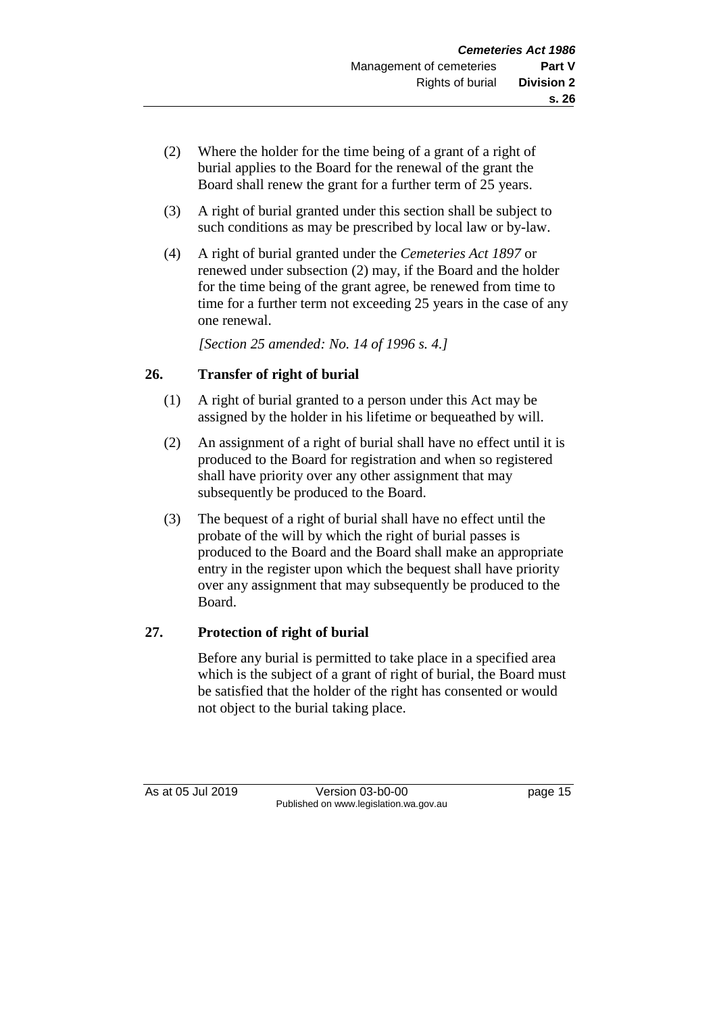- (2) Where the holder for the time being of a grant of a right of burial applies to the Board for the renewal of the grant the Board shall renew the grant for a further term of 25 years.
- (3) A right of burial granted under this section shall be subject to such conditions as may be prescribed by local law or by-law.
- (4) A right of burial granted under the *Cemeteries Act 1897* or renewed under subsection (2) may, if the Board and the holder for the time being of the grant agree, be renewed from time to time for a further term not exceeding 25 years in the case of any one renewal.

*[Section 25 amended: No. 14 of 1996 s. 4.]* 

# **26. Transfer of right of burial**

- (1) A right of burial granted to a person under this Act may be assigned by the holder in his lifetime or bequeathed by will.
- (2) An assignment of a right of burial shall have no effect until it is produced to the Board for registration and when so registered shall have priority over any other assignment that may subsequently be produced to the Board.
- (3) The bequest of a right of burial shall have no effect until the probate of the will by which the right of burial passes is produced to the Board and the Board shall make an appropriate entry in the register upon which the bequest shall have priority over any assignment that may subsequently be produced to the Board.

# **27. Protection of right of burial**

Before any burial is permitted to take place in a specified area which is the subject of a grant of right of burial, the Board must be satisfied that the holder of the right has consented or would not object to the burial taking place.

As at 05 Jul 2019 Version 03-b0-00 page 15 Published on www.legislation.wa.gov.au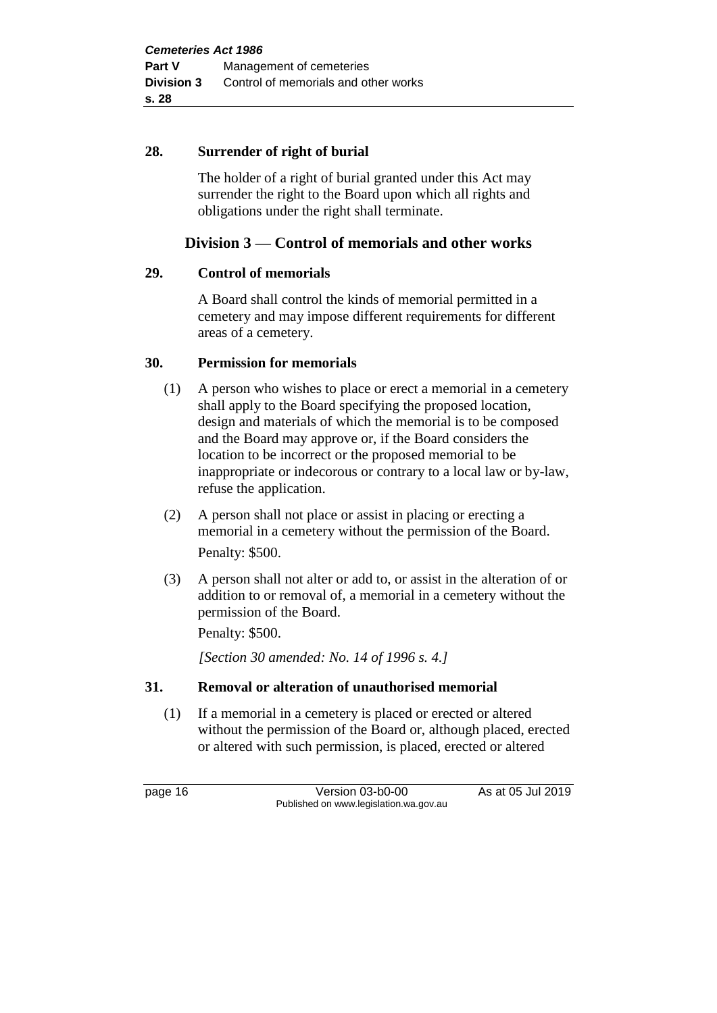# **28. Surrender of right of burial**

The holder of a right of burial granted under this Act may surrender the right to the Board upon which all rights and obligations under the right shall terminate.

# **Division 3 — Control of memorials and other works**

# **29. Control of memorials**

A Board shall control the kinds of memorial permitted in a cemetery and may impose different requirements for different areas of a cemetery.

# **30. Permission for memorials**

- (1) A person who wishes to place or erect a memorial in a cemetery shall apply to the Board specifying the proposed location, design and materials of which the memorial is to be composed and the Board may approve or, if the Board considers the location to be incorrect or the proposed memorial to be inappropriate or indecorous or contrary to a local law or by-law, refuse the application.
- (2) A person shall not place or assist in placing or erecting a memorial in a cemetery without the permission of the Board. Penalty: \$500.
- (3) A person shall not alter or add to, or assist in the alteration of or addition to or removal of, a memorial in a cemetery without the permission of the Board.

Penalty: \$500.

*[Section 30 amended: No. 14 of 1996 s. 4.]* 

# **31. Removal or alteration of unauthorised memorial**

(1) If a memorial in a cemetery is placed or erected or altered without the permission of the Board or, although placed, erected or altered with such permission, is placed, erected or altered

page 16 Version 03-b0-00 As at 05 Jul 2019 Published on www.legislation.wa.gov.au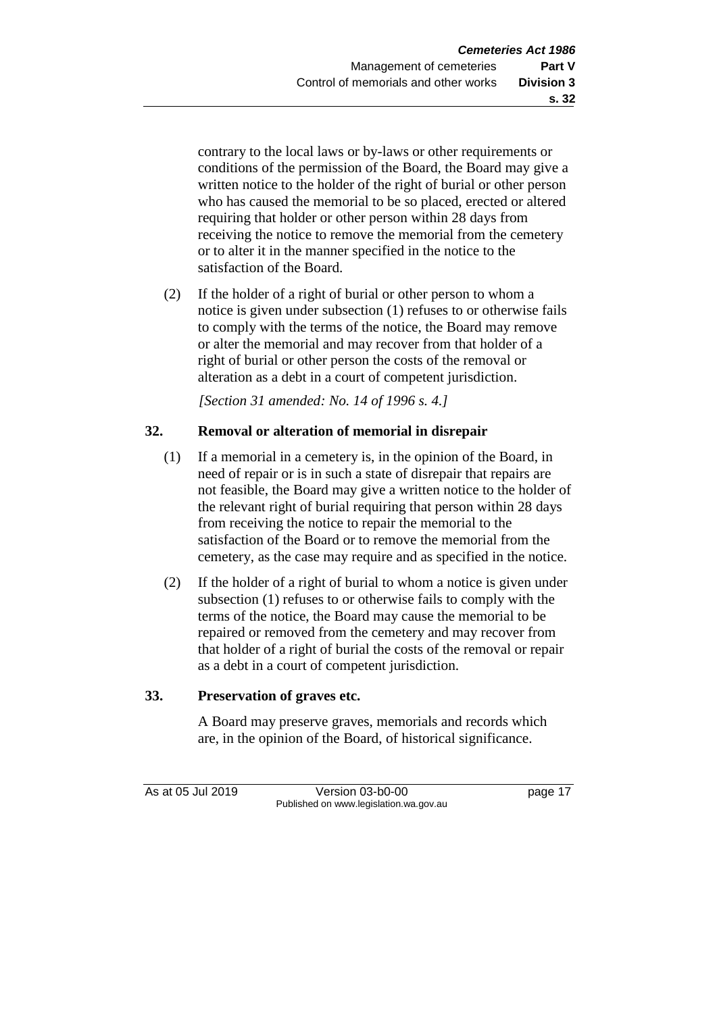contrary to the local laws or by-laws or other requirements or conditions of the permission of the Board, the Board may give a written notice to the holder of the right of burial or other person who has caused the memorial to be so placed, erected or altered requiring that holder or other person within 28 days from receiving the notice to remove the memorial from the cemetery or to alter it in the manner specified in the notice to the satisfaction of the Board.

(2) If the holder of a right of burial or other person to whom a notice is given under subsection (1) refuses to or otherwise fails to comply with the terms of the notice, the Board may remove or alter the memorial and may recover from that holder of a right of burial or other person the costs of the removal or alteration as a debt in a court of competent jurisdiction.

*[Section 31 amended: No. 14 of 1996 s. 4.]* 

# **32. Removal or alteration of memorial in disrepair**

- (1) If a memorial in a cemetery is, in the opinion of the Board, in need of repair or is in such a state of disrepair that repairs are not feasible, the Board may give a written notice to the holder of the relevant right of burial requiring that person within 28 days from receiving the notice to repair the memorial to the satisfaction of the Board or to remove the memorial from the cemetery, as the case may require and as specified in the notice.
- (2) If the holder of a right of burial to whom a notice is given under subsection (1) refuses to or otherwise fails to comply with the terms of the notice, the Board may cause the memorial to be repaired or removed from the cemetery and may recover from that holder of a right of burial the costs of the removal or repair as a debt in a court of competent jurisdiction.

# **33. Preservation of graves etc.**

A Board may preserve graves, memorials and records which are, in the opinion of the Board, of historical significance.

As at 05 Jul 2019 Version 03-b0-00 page 17 Published on www.legislation.wa.gov.au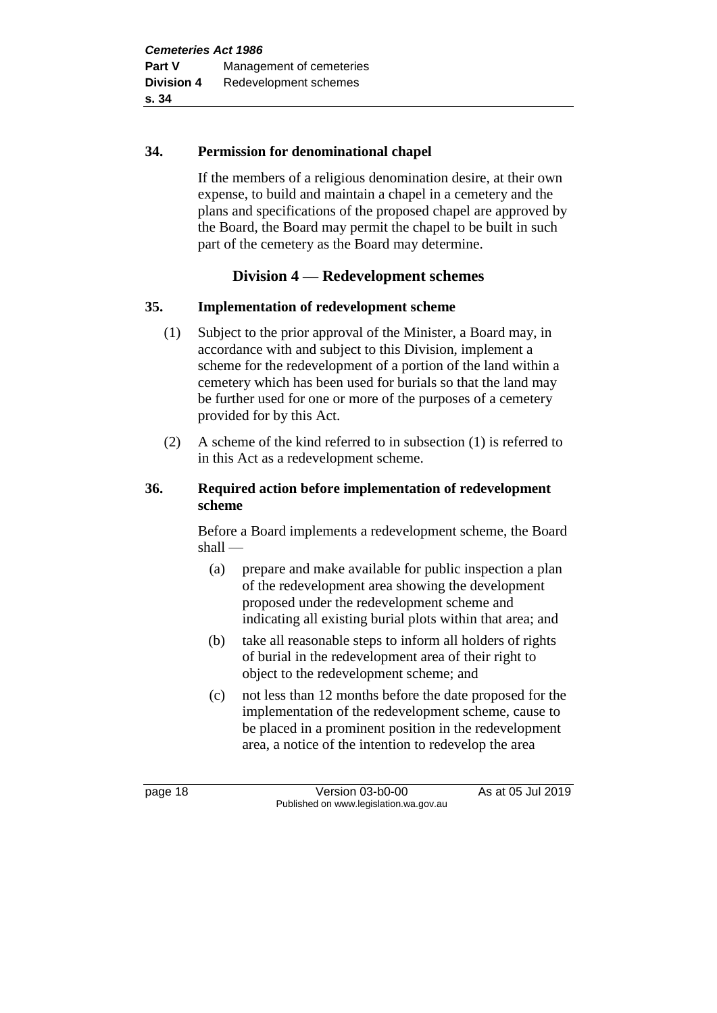# **34. Permission for denominational chapel**

If the members of a religious denomination desire, at their own expense, to build and maintain a chapel in a cemetery and the plans and specifications of the proposed chapel are approved by the Board, the Board may permit the chapel to be built in such part of the cemetery as the Board may determine.

# **Division 4 — Redevelopment schemes**

# **35. Implementation of redevelopment scheme**

- (1) Subject to the prior approval of the Minister, a Board may, in accordance with and subject to this Division, implement a scheme for the redevelopment of a portion of the land within a cemetery which has been used for burials so that the land may be further used for one or more of the purposes of a cemetery provided for by this Act.
- (2) A scheme of the kind referred to in subsection (1) is referred to in this Act as a redevelopment scheme.

# **36. Required action before implementation of redevelopment scheme**

Before a Board implements a redevelopment scheme, the Board shall —

- (a) prepare and make available for public inspection a plan of the redevelopment area showing the development proposed under the redevelopment scheme and indicating all existing burial plots within that area; and
- (b) take all reasonable steps to inform all holders of rights of burial in the redevelopment area of their right to object to the redevelopment scheme; and
- (c) not less than 12 months before the date proposed for the implementation of the redevelopment scheme, cause to be placed in a prominent position in the redevelopment area, a notice of the intention to redevelop the area

page 18 Version 03-b0-00 As at 05 Jul 2019 Published on www.legislation.wa.gov.au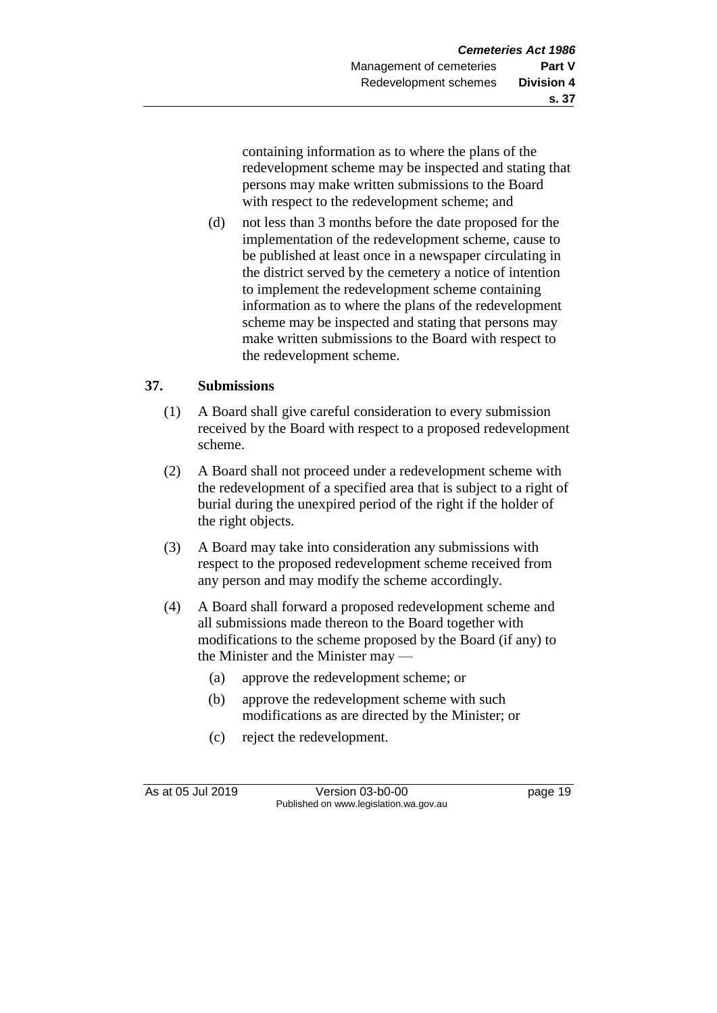containing information as to where the plans of the redevelopment scheme may be inspected and stating that persons may make written submissions to the Board with respect to the redevelopment scheme; and

(d) not less than 3 months before the date proposed for the implementation of the redevelopment scheme, cause to be published at least once in a newspaper circulating in the district served by the cemetery a notice of intention to implement the redevelopment scheme containing information as to where the plans of the redevelopment scheme may be inspected and stating that persons may make written submissions to the Board with respect to the redevelopment scheme.

# **37. Submissions**

- (1) A Board shall give careful consideration to every submission received by the Board with respect to a proposed redevelopment scheme.
- (2) A Board shall not proceed under a redevelopment scheme with the redevelopment of a specified area that is subject to a right of burial during the unexpired period of the right if the holder of the right objects.
- (3) A Board may take into consideration any submissions with respect to the proposed redevelopment scheme received from any person and may modify the scheme accordingly.
- (4) A Board shall forward a proposed redevelopment scheme and all submissions made thereon to the Board together with modifications to the scheme proposed by the Board (if any) to the Minister and the Minister may —
	- (a) approve the redevelopment scheme; or
	- (b) approve the redevelopment scheme with such modifications as are directed by the Minister; or
	- (c) reject the redevelopment.

As at 05 Jul 2019 Version 03-b0-00 page 19 Published on www.legislation.wa.gov.au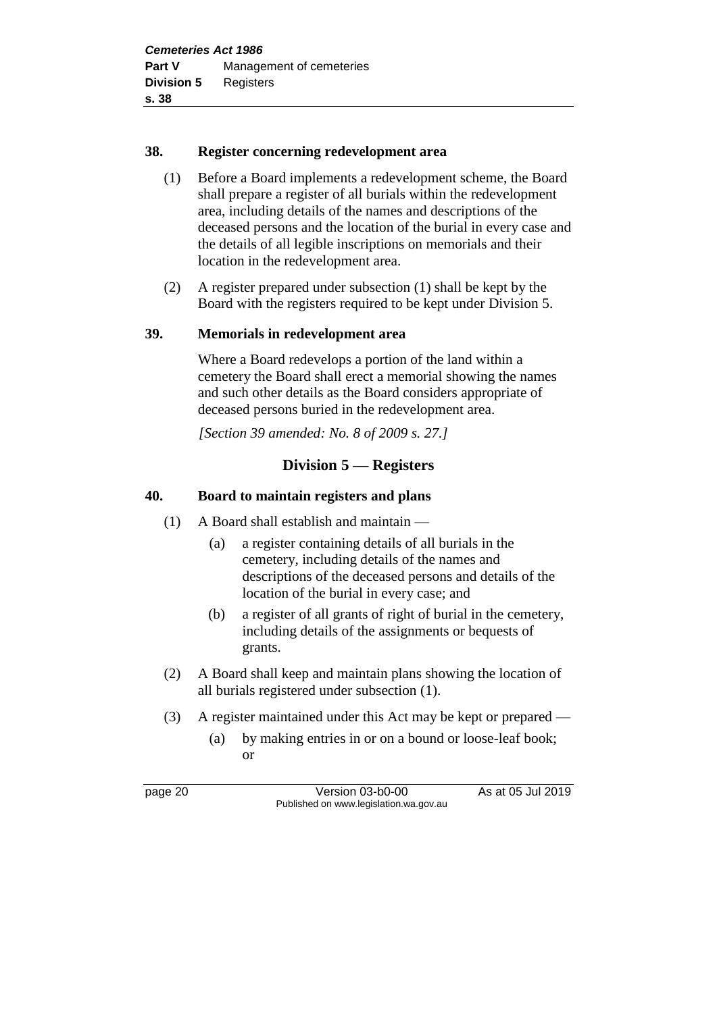# **38. Register concerning redevelopment area**

- (1) Before a Board implements a redevelopment scheme, the Board shall prepare a register of all burials within the redevelopment area, including details of the names and descriptions of the deceased persons and the location of the burial in every case and the details of all legible inscriptions on memorials and their location in the redevelopment area.
- (2) A register prepared under subsection (1) shall be kept by the Board with the registers required to be kept under Division 5.

# **39. Memorials in redevelopment area**

Where a Board redevelops a portion of the land within a cemetery the Board shall erect a memorial showing the names and such other details as the Board considers appropriate of deceased persons buried in the redevelopment area.

*[Section 39 amended: No. 8 of 2009 s. 27.]*

# **Division 5 — Registers**

# **40. Board to maintain registers and plans**

- (1) A Board shall establish and maintain
	- (a) a register containing details of all burials in the cemetery, including details of the names and descriptions of the deceased persons and details of the location of the burial in every case; and
	- (b) a register of all grants of right of burial in the cemetery, including details of the assignments or bequests of grants.
- (2) A Board shall keep and maintain plans showing the location of all burials registered under subsection (1).
- (3) A register maintained under this Act may be kept or prepared
	- (a) by making entries in or on a bound or loose-leaf book; or

page 20 Version 03-b0-00 As at 05 Jul 2019 Published on www.legislation.wa.gov.au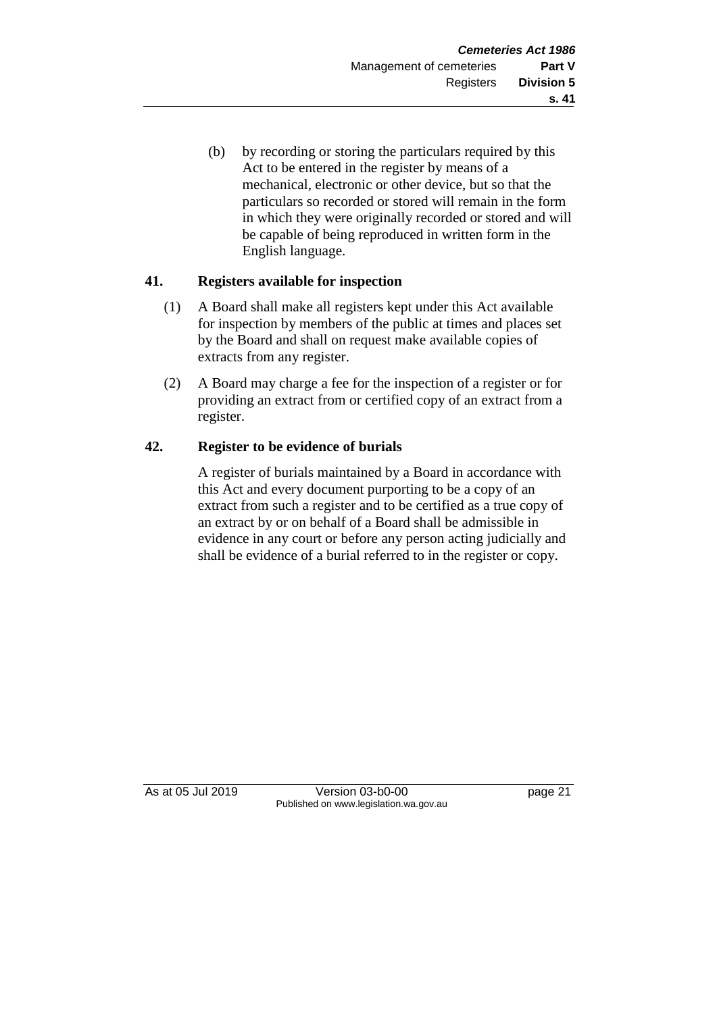(b) by recording or storing the particulars required by this Act to be entered in the register by means of a mechanical, electronic or other device, but so that the particulars so recorded or stored will remain in the form in which they were originally recorded or stored and will be capable of being reproduced in written form in the English language.

# **41. Registers available for inspection**

- (1) A Board shall make all registers kept under this Act available for inspection by members of the public at times and places set by the Board and shall on request make available copies of extracts from any register.
- (2) A Board may charge a fee for the inspection of a register or for providing an extract from or certified copy of an extract from a register.

# **42. Register to be evidence of burials**

A register of burials maintained by a Board in accordance with this Act and every document purporting to be a copy of an extract from such a register and to be certified as a true copy of an extract by or on behalf of a Board shall be admissible in evidence in any court or before any person acting judicially and shall be evidence of a burial referred to in the register or copy.

As at 05 Jul 2019 Version 03-b0-00 page 21 Published on www.legislation.wa.gov.au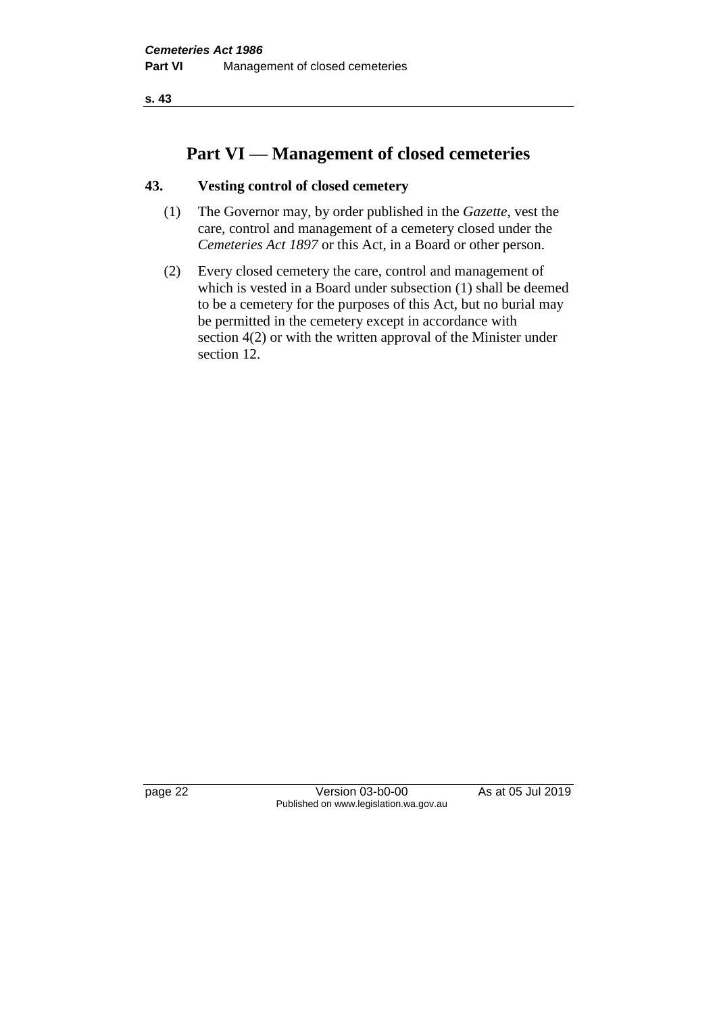**s. 43**

# **Part VI — Management of closed cemeteries**

# **43. Vesting control of closed cemetery**

- (1) The Governor may, by order published in the *Gazette*, vest the care, control and management of a cemetery closed under the *Cemeteries Act 1897* or this Act, in a Board or other person.
- (2) Every closed cemetery the care, control and management of which is vested in a Board under subsection (1) shall be deemed to be a cemetery for the purposes of this Act, but no burial may be permitted in the cemetery except in accordance with section 4(2) or with the written approval of the Minister under section 12.

page 22 Version 03-b0-00 As at 05 Jul 2019 Published on www.legislation.wa.gov.au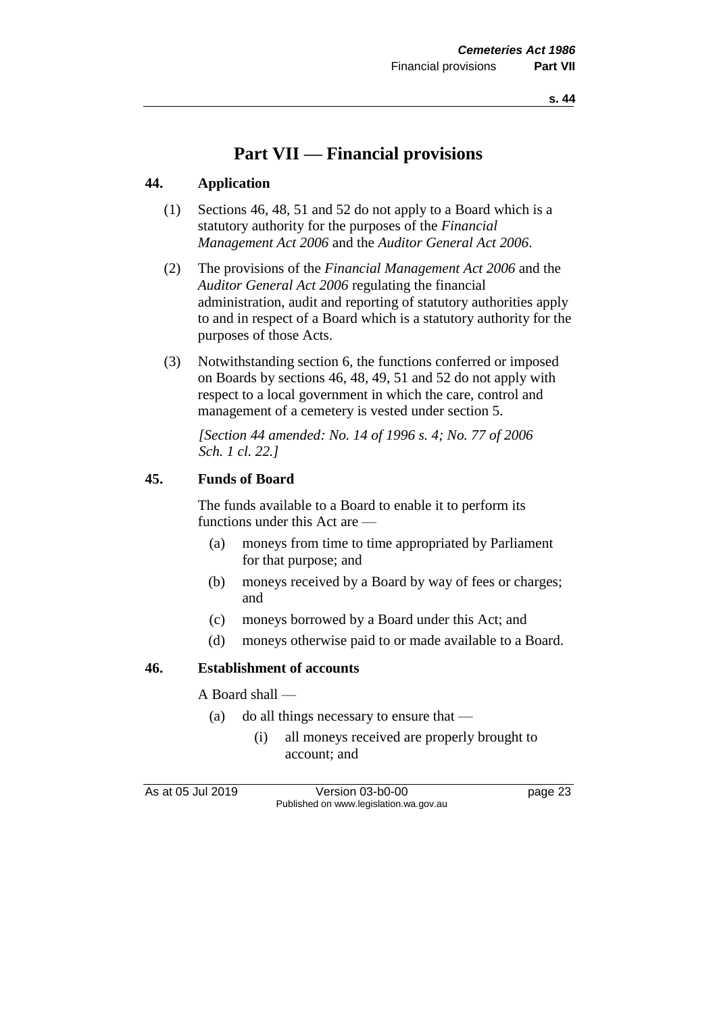# **Part VII — Financial provisions**

# **44. Application**

- (1) Sections 46, 48, 51 and 52 do not apply to a Board which is a statutory authority for the purposes of the *Financial Management Act 2006* and the *Auditor General Act 2006*.
- (2) The provisions of the *Financial Management Act 2006* and the *Auditor General Act 2006* regulating the financial administration, audit and reporting of statutory authorities apply to and in respect of a Board which is a statutory authority for the purposes of those Acts.
- (3) Notwithstanding section 6, the functions conferred or imposed on Boards by sections 46, 48, 49, 51 and 52 do not apply with respect to a local government in which the care, control and management of a cemetery is vested under section 5.

*[Section 44 amended: No. 14 of 1996 s. 4; No. 77 of 2006 Sch. 1 cl. 22.]* 

### **45. Funds of Board**

The funds available to a Board to enable it to perform its functions under this Act are —

- (a) moneys from time to time appropriated by Parliament for that purpose; and
- (b) moneys received by a Board by way of fees or charges; and
- (c) moneys borrowed by a Board under this Act; and
- (d) moneys otherwise paid to or made available to a Board.

### **46. Establishment of accounts**

A Board shall —

- (a) do all things necessary to ensure that
	- (i) all moneys received are properly brought to account; and

As at 05 Jul 2019 Version 03-b0-00 Page 23 Published on www.legislation.wa.gov.au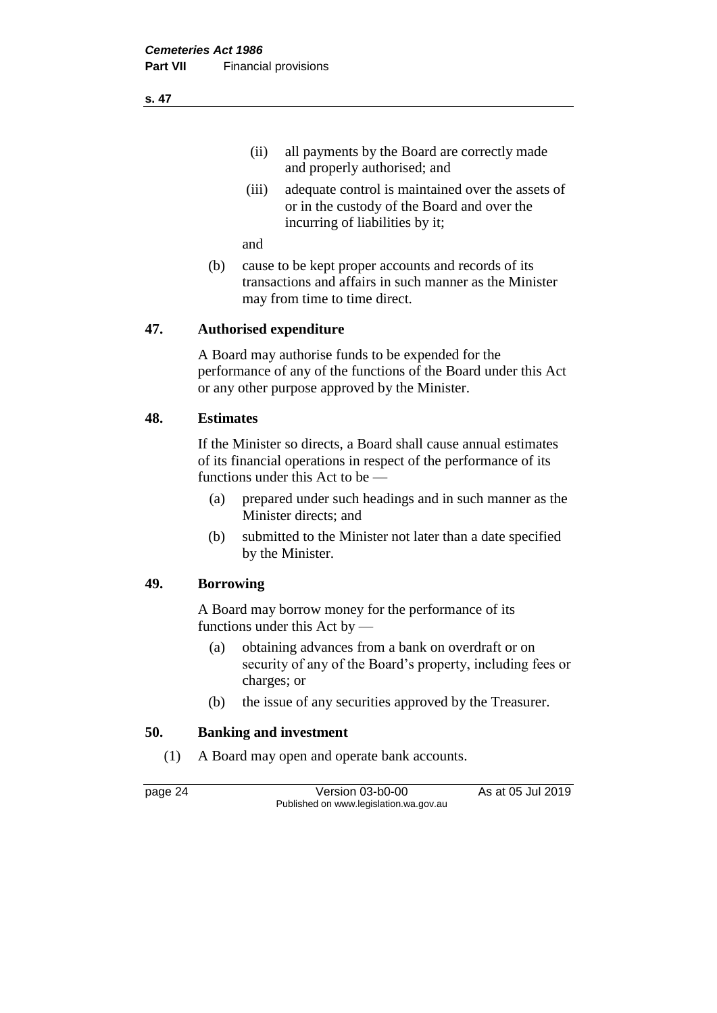(ii) all payments by the Board are correctly made and properly authorised; and

(iii) adequate control is maintained over the assets of or in the custody of the Board and over the incurring of liabilities by it;

and

(b) cause to be kept proper accounts and records of its transactions and affairs in such manner as the Minister may from time to time direct.

### **47. Authorised expenditure**

A Board may authorise funds to be expended for the performance of any of the functions of the Board under this Act or any other purpose approved by the Minister.

#### **48. Estimates**

If the Minister so directs, a Board shall cause annual estimates of its financial operations in respect of the performance of its functions under this Act to be —

- (a) prepared under such headings and in such manner as the Minister directs; and
- (b) submitted to the Minister not later than a date specified by the Minister.

### **49. Borrowing**

A Board may borrow money for the performance of its functions under this Act by —

- (a) obtaining advances from a bank on overdraft or on security of any of the Board's property, including fees or charges; or
- (b) the issue of any securities approved by the Treasurer.

### **50. Banking and investment**

(1) A Board may open and operate bank accounts.

page 24 Version 03-b0-00 As at 05 Jul 2019 Published on www.legislation.wa.gov.au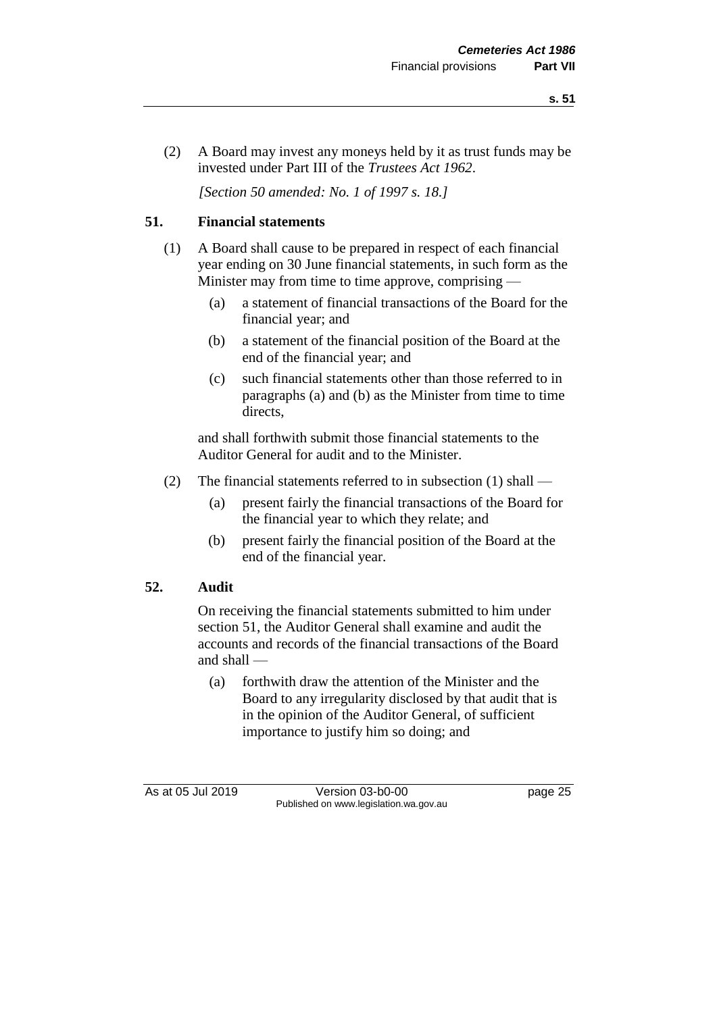(2) A Board may invest any moneys held by it as trust funds may be invested under Part III of the *Trustees Act 1962*.

*[Section 50 amended: No. 1 of 1997 s. 18.]* 

# **51. Financial statements**

- (1) A Board shall cause to be prepared in respect of each financial year ending on 30 June financial statements, in such form as the Minister may from time to time approve, comprising —
	- (a) a statement of financial transactions of the Board for the financial year; and
	- (b) a statement of the financial position of the Board at the end of the financial year; and
	- (c) such financial statements other than those referred to in paragraphs (a) and (b) as the Minister from time to time directs,

and shall forthwith submit those financial statements to the Auditor General for audit and to the Minister.

- (2) The financial statements referred to in subsection (1) shall
	- (a) present fairly the financial transactions of the Board for the financial year to which they relate; and
	- (b) present fairly the financial position of the Board at the end of the financial year.

# **52. Audit**

On receiving the financial statements submitted to him under section 51, the Auditor General shall examine and audit the accounts and records of the financial transactions of the Board and shall —

(a) forthwith draw the attention of the Minister and the Board to any irregularity disclosed by that audit that is in the opinion of the Auditor General, of sufficient importance to justify him so doing; and

As at 05 Jul 2019 Version 03-b0-00 page 25 Published on www.legislation.wa.gov.au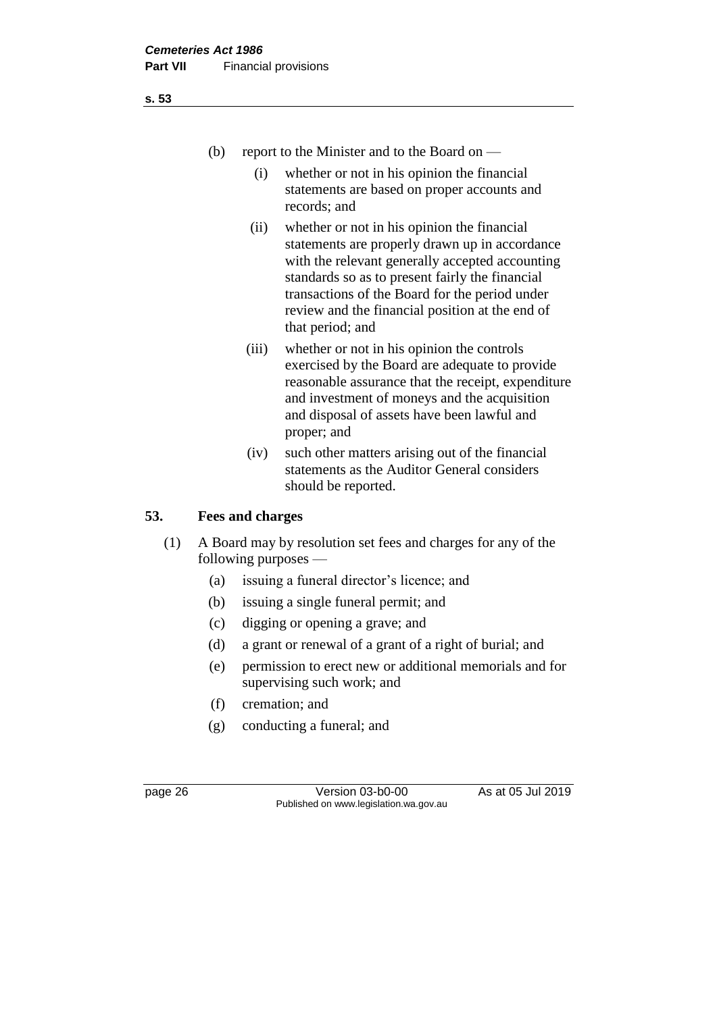- (b) report to the Minister and to the Board on
	- (i) whether or not in his opinion the financial statements are based on proper accounts and records; and
	- (ii) whether or not in his opinion the financial statements are properly drawn up in accordance with the relevant generally accepted accounting standards so as to present fairly the financial transactions of the Board for the period under review and the financial position at the end of that period; and
	- (iii) whether or not in his opinion the controls exercised by the Board are adequate to provide reasonable assurance that the receipt, expenditure and investment of moneys and the acquisition and disposal of assets have been lawful and proper; and
	- (iv) such other matters arising out of the financial statements as the Auditor General considers should be reported.

# **53. Fees and charges**

- (1) A Board may by resolution set fees and charges for any of the following purposes —
	- (a) issuing a funeral director's licence; and
	- (b) issuing a single funeral permit; and
	- (c) digging or opening a grave; and
	- (d) a grant or renewal of a grant of a right of burial; and
	- (e) permission to erect new or additional memorials and for supervising such work; and
	- (f) cremation; and
	- (g) conducting a funeral; and

page 26 Version 03-b0-00 As at 05 Jul 2019 Published on www.legislation.wa.gov.au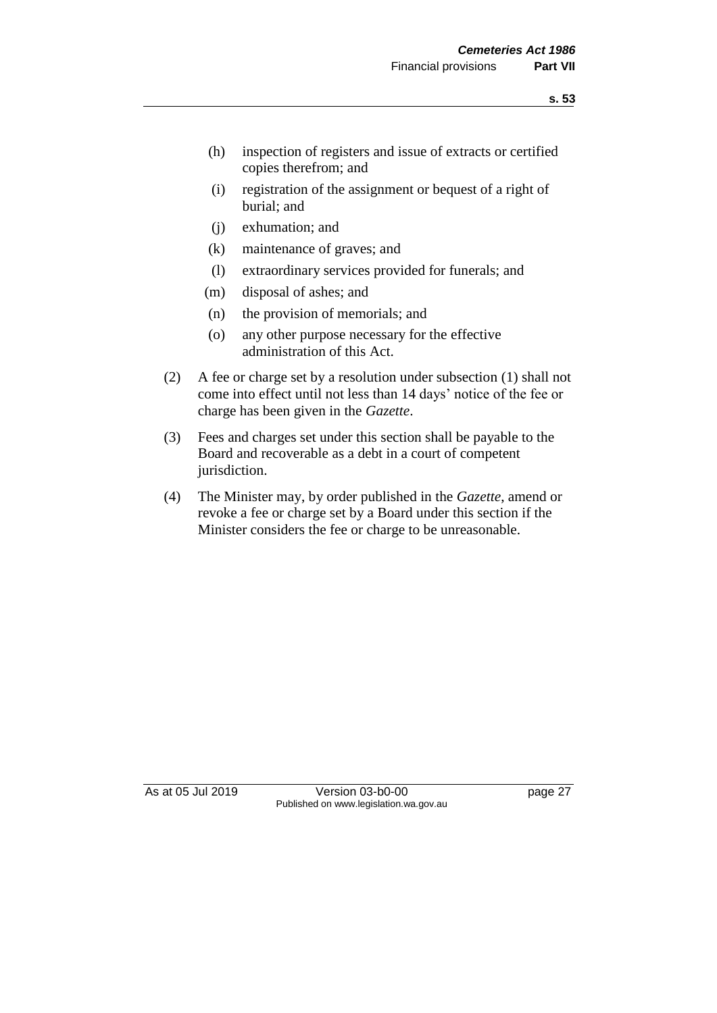- (h) inspection of registers and issue of extracts or certified copies therefrom; and
- (i) registration of the assignment or bequest of a right of burial; and
- (j) exhumation; and
- (k) maintenance of graves; and
- (l) extraordinary services provided for funerals; and
- (m) disposal of ashes; and
- (n) the provision of memorials; and
- (o) any other purpose necessary for the effective administration of this Act.
- (2) A fee or charge set by a resolution under subsection (1) shall not come into effect until not less than 14 days' notice of the fee or charge has been given in the *Gazette*.
- (3) Fees and charges set under this section shall be payable to the Board and recoverable as a debt in a court of competent jurisdiction.
- (4) The Minister may, by order published in the *Gazette*, amend or revoke a fee or charge set by a Board under this section if the Minister considers the fee or charge to be unreasonable.

As at 05 Jul 2019 Version 03-b0-00 page 27 Published on www.legislation.wa.gov.au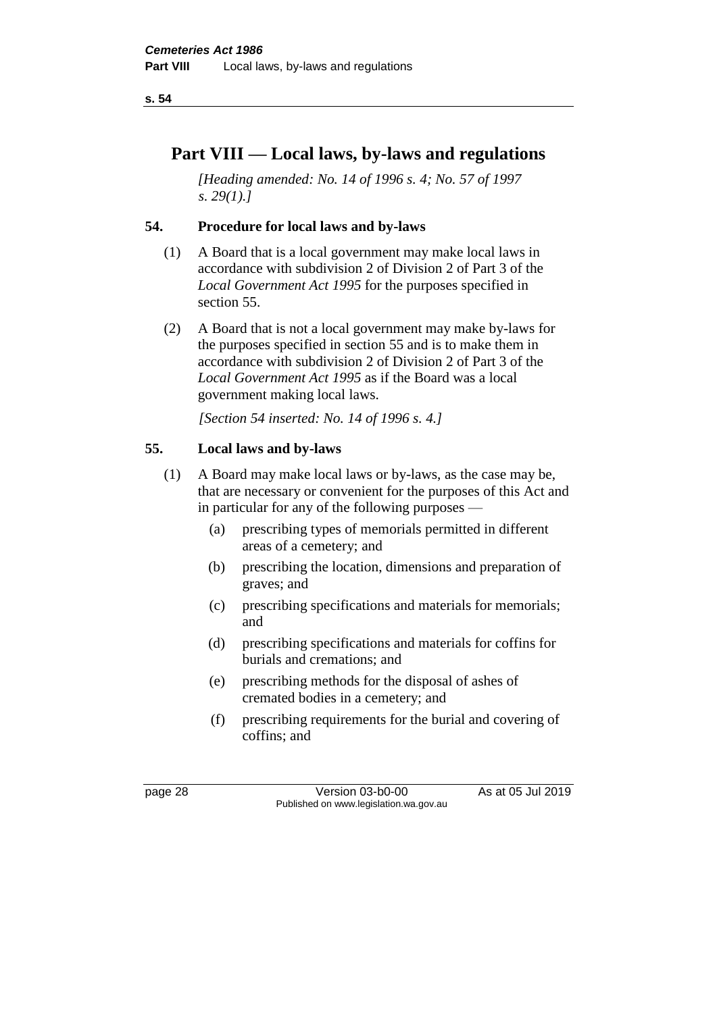# **Part VIII — Local laws, by-laws and regulations**

*[Heading amended: No. 14 of 1996 s. 4; No. 57 of 1997 s. 29(1).]* 

# **54. Procedure for local laws and by-laws**

- (1) A Board that is a local government may make local laws in accordance with subdivision 2 of Division 2 of Part 3 of the *Local Government Act 1995* for the purposes specified in section 55.
- (2) A Board that is not a local government may make by-laws for the purposes specified in section 55 and is to make them in accordance with subdivision 2 of Division 2 of Part 3 of the *Local Government Act 1995* as if the Board was a local government making local laws.

*[Section 54 inserted: No. 14 of 1996 s. 4.]* 

# **55. Local laws and by-laws**

- (1) A Board may make local laws or by-laws, as the case may be, that are necessary or convenient for the purposes of this Act and in particular for any of the following purposes —
	- (a) prescribing types of memorials permitted in different areas of a cemetery; and
	- (b) prescribing the location, dimensions and preparation of graves; and
	- (c) prescribing specifications and materials for memorials; and
	- (d) prescribing specifications and materials for coffins for burials and cremations; and
	- (e) prescribing methods for the disposal of ashes of cremated bodies in a cemetery; and
	- (f) prescribing requirements for the burial and covering of coffins; and

page 28 Version 03-b0-00 As at 05 Jul 2019 Published on www.legislation.wa.gov.au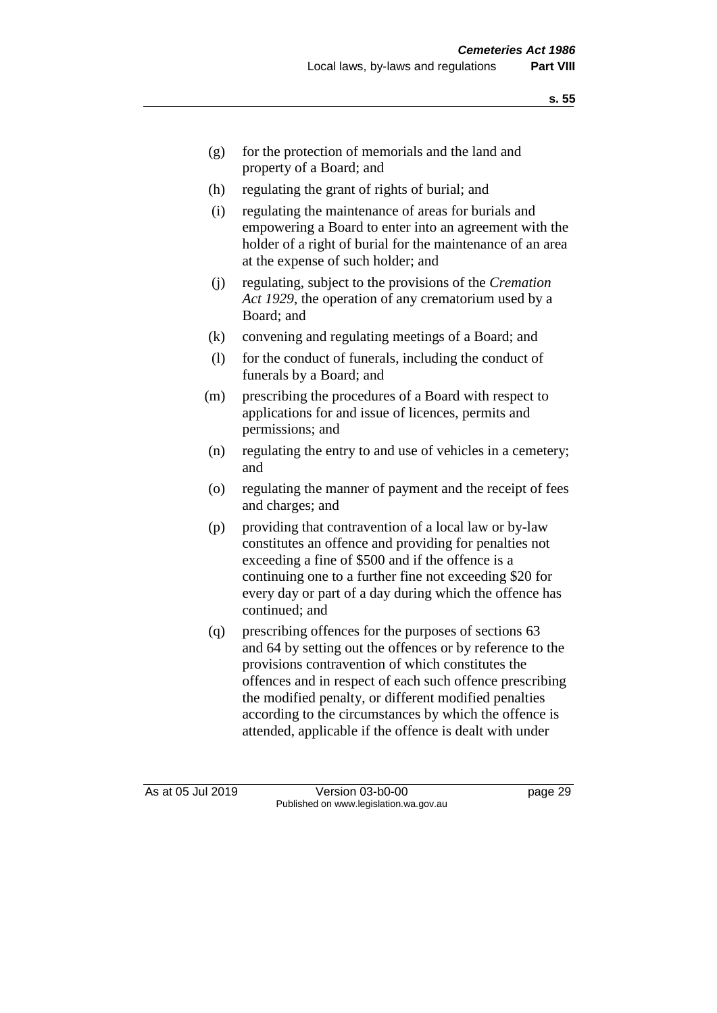- (g) for the protection of memorials and the land and property of a Board; and
- (h) regulating the grant of rights of burial; and
- (i) regulating the maintenance of areas for burials and empowering a Board to enter into an agreement with the holder of a right of burial for the maintenance of an area at the expense of such holder; and
- (j) regulating, subject to the provisions of the *Cremation Act 1929*, the operation of any crematorium used by a Board; and
- (k) convening and regulating meetings of a Board; and
- (l) for the conduct of funerals, including the conduct of funerals by a Board; and
- (m) prescribing the procedures of a Board with respect to applications for and issue of licences, permits and permissions; and
- (n) regulating the entry to and use of vehicles in a cemetery; and
- (o) regulating the manner of payment and the receipt of fees and charges; and
- (p) providing that contravention of a local law or by-law constitutes an offence and providing for penalties not exceeding a fine of \$500 and if the offence is a continuing one to a further fine not exceeding \$20 for every day or part of a day during which the offence has continued; and
- (q) prescribing offences for the purposes of sections 63 and 64 by setting out the offences or by reference to the provisions contravention of which constitutes the offences and in respect of each such offence prescribing the modified penalty, or different modified penalties according to the circumstances by which the offence is attended, applicable if the offence is dealt with under

As at 05 Jul 2019 Version 03-b0-00 page 29 Published on www.legislation.wa.gov.au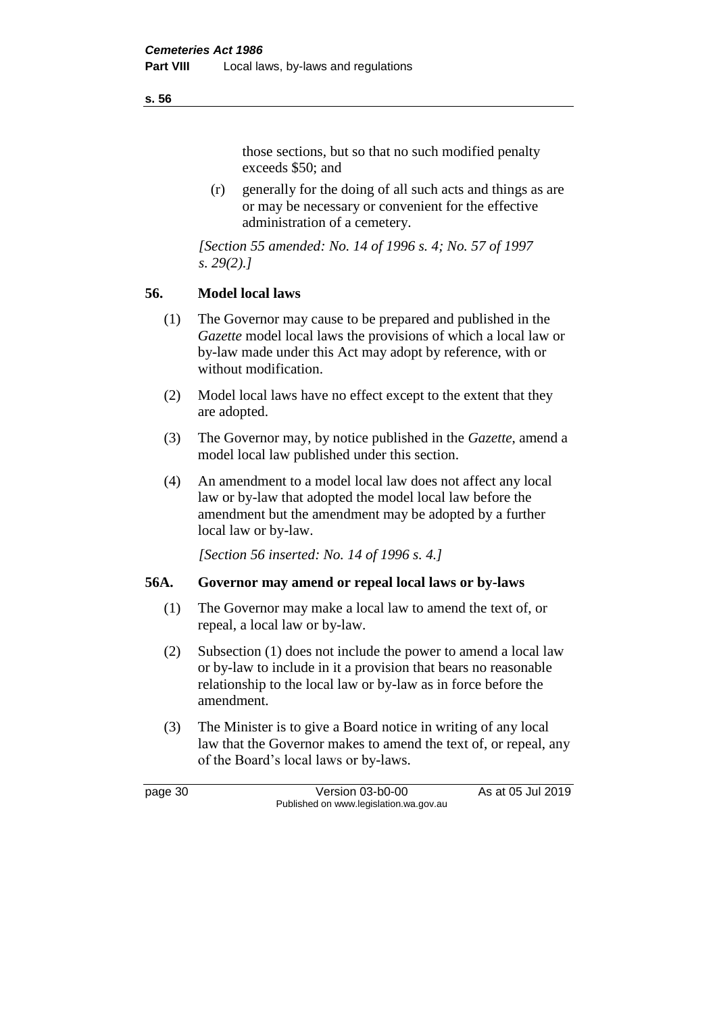#### **s. 56**

those sections, but so that no such modified penalty exceeds \$50; and

(r) generally for the doing of all such acts and things as are or may be necessary or convenient for the effective administration of a cemetery.

*[Section 55 amended: No. 14 of 1996 s. 4; No. 57 of 1997 s. 29(2).]* 

# **56. Model local laws**

- (1) The Governor may cause to be prepared and published in the *Gazette* model local laws the provisions of which a local law or by-law made under this Act may adopt by reference, with or without modification.
- (2) Model local laws have no effect except to the extent that they are adopted.
- (3) The Governor may, by notice published in the *Gazette*, amend a model local law published under this section.
- (4) An amendment to a model local law does not affect any local law or by-law that adopted the model local law before the amendment but the amendment may be adopted by a further local law or by-law.

*[Section 56 inserted: No. 14 of 1996 s. 4.]* 

### **56A. Governor may amend or repeal local laws or by-laws**

- (1) The Governor may make a local law to amend the text of, or repeal, a local law or by-law.
- (2) Subsection (1) does not include the power to amend a local law or by-law to include in it a provision that bears no reasonable relationship to the local law or by-law as in force before the amendment.
- (3) The Minister is to give a Board notice in writing of any local law that the Governor makes to amend the text of, or repeal, any of the Board's local laws or by-laws.

page 30 Version 03-b0-00 As at 05 Jul 2019 Published on www.legislation.wa.gov.au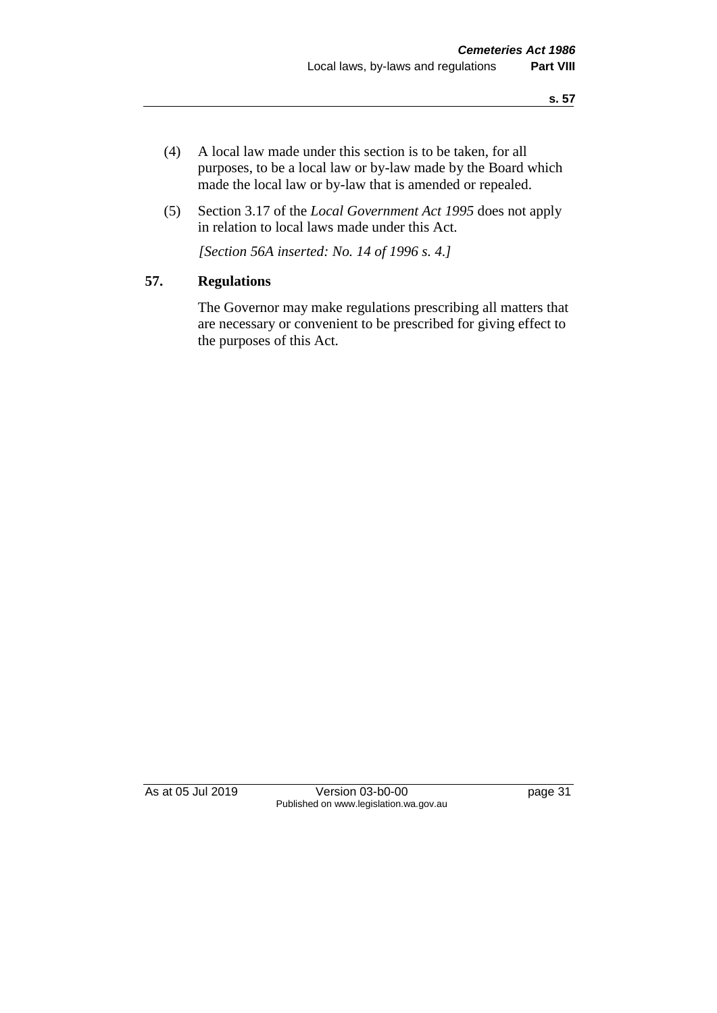- (4) A local law made under this section is to be taken, for all purposes, to be a local law or by-law made by the Board which made the local law or by-law that is amended or repealed.
- (5) Section 3.17 of the *Local Government Act 1995* does not apply in relation to local laws made under this Act.

*[Section 56A inserted: No. 14 of 1996 s. 4.]* 

# **57. Regulations**

The Governor may make regulations prescribing all matters that are necessary or convenient to be prescribed for giving effect to the purposes of this Act.

As at 05 Jul 2019 Version 03-b0-00 page 31 Published on www.legislation.wa.gov.au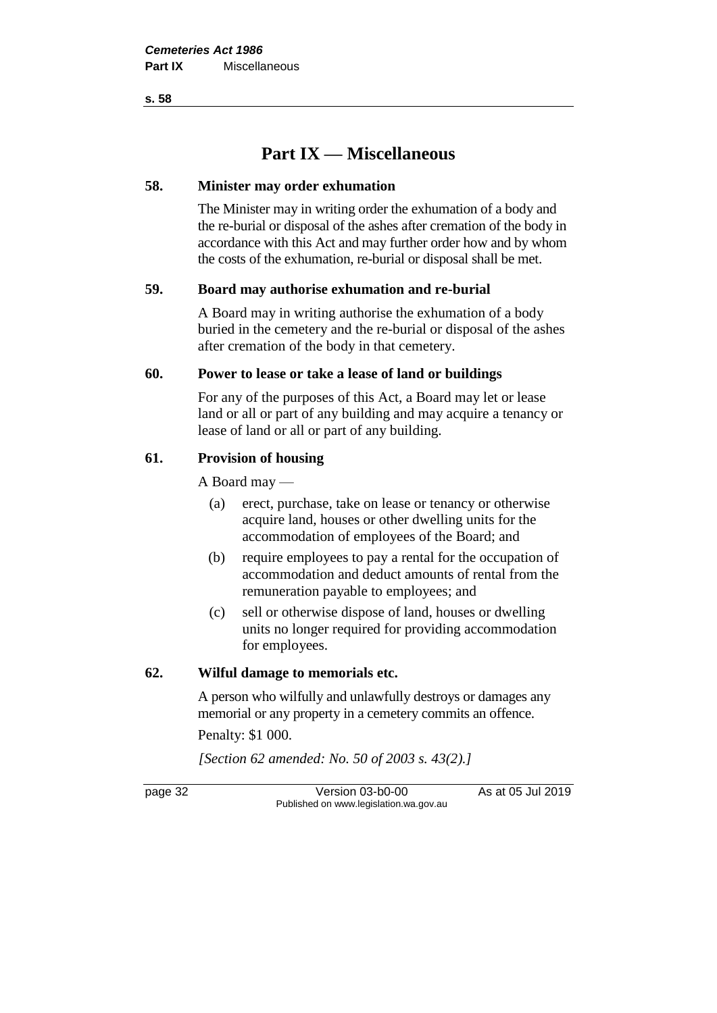**s. 58**

# **Part IX — Miscellaneous**

# **58. Minister may order exhumation**

The Minister may in writing order the exhumation of a body and the re-burial or disposal of the ashes after cremation of the body in accordance with this Act and may further order how and by whom the costs of the exhumation, re-burial or disposal shall be met.

# **59. Board may authorise exhumation and re-burial**

A Board may in writing authorise the exhumation of a body buried in the cemetery and the re-burial or disposal of the ashes after cremation of the body in that cemetery.

# **60. Power to lease or take a lease of land or buildings**

For any of the purposes of this Act, a Board may let or lease land or all or part of any building and may acquire a tenancy or lease of land or all or part of any building.

# **61. Provision of housing**

A Board may —

- (a) erect, purchase, take on lease or tenancy or otherwise acquire land, houses or other dwelling units for the accommodation of employees of the Board; and
- (b) require employees to pay a rental for the occupation of accommodation and deduct amounts of rental from the remuneration payable to employees; and
- (c) sell or otherwise dispose of land, houses or dwelling units no longer required for providing accommodation for employees.

# **62. Wilful damage to memorials etc.**

A person who wilfully and unlawfully destroys or damages any memorial or any property in a cemetery commits an offence.

Penalty: \$1 000.

*[Section 62 amended: No. 50 of 2003 s. 43(2).]*

page 32 Version 03-b0-00 As at 05 Jul 2019 Published on www.legislation.wa.gov.au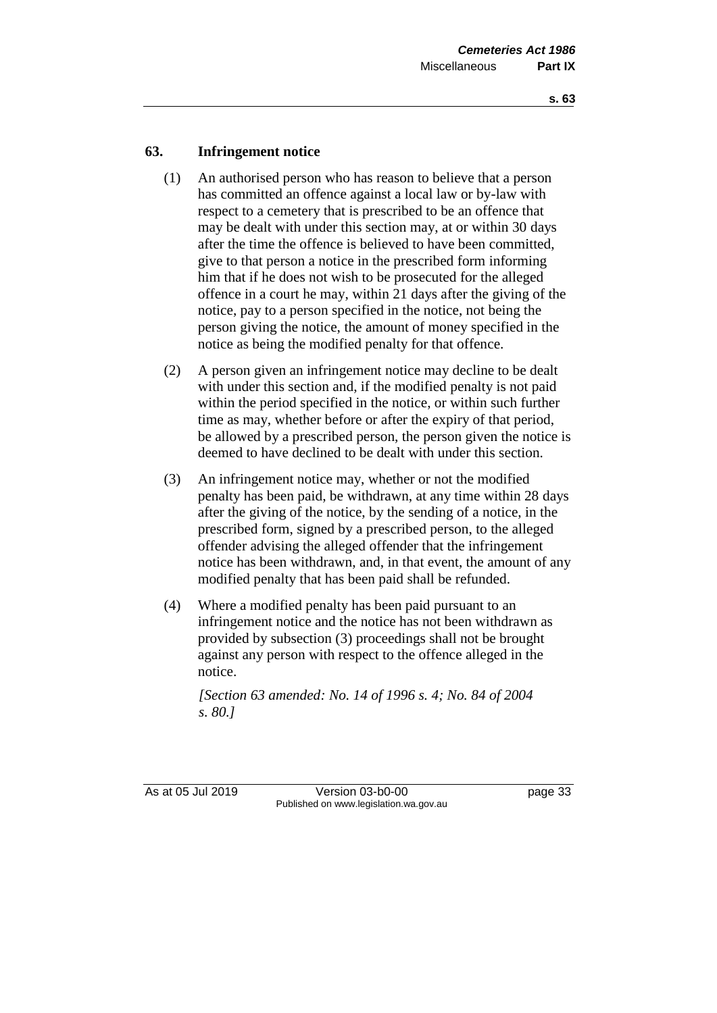# **63. Infringement notice**

- (1) An authorised person who has reason to believe that a person has committed an offence against a local law or by-law with respect to a cemetery that is prescribed to be an offence that may be dealt with under this section may, at or within 30 days after the time the offence is believed to have been committed, give to that person a notice in the prescribed form informing him that if he does not wish to be prosecuted for the alleged offence in a court he may, within 21 days after the giving of the notice, pay to a person specified in the notice, not being the person giving the notice, the amount of money specified in the notice as being the modified penalty for that offence.
- (2) A person given an infringement notice may decline to be dealt with under this section and, if the modified penalty is not paid within the period specified in the notice, or within such further time as may, whether before or after the expiry of that period, be allowed by a prescribed person, the person given the notice is deemed to have declined to be dealt with under this section.
- (3) An infringement notice may, whether or not the modified penalty has been paid, be withdrawn, at any time within 28 days after the giving of the notice, by the sending of a notice, in the prescribed form, signed by a prescribed person, to the alleged offender advising the alleged offender that the infringement notice has been withdrawn, and, in that event, the amount of any modified penalty that has been paid shall be refunded.
- (4) Where a modified penalty has been paid pursuant to an infringement notice and the notice has not been withdrawn as provided by subsection (3) proceedings shall not be brought against any person with respect to the offence alleged in the notice.

*[Section 63 amended: No. 14 of 1996 s. 4; No. 84 of 2004 s. 80.]* 

As at 05 Jul 2019 Version 03-b0-00 page 33 Published on www.legislation.wa.gov.au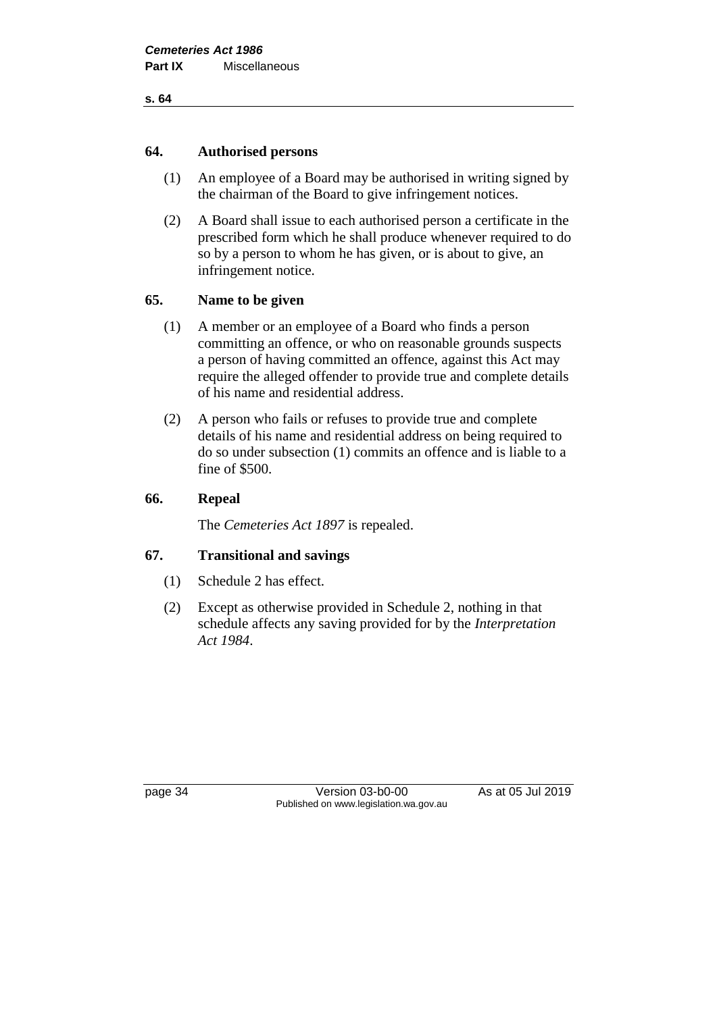#### **s. 64**

### **64. Authorised persons**

- (1) An employee of a Board may be authorised in writing signed by the chairman of the Board to give infringement notices.
- (2) A Board shall issue to each authorised person a certificate in the prescribed form which he shall produce whenever required to do so by a person to whom he has given, or is about to give, an infringement notice.

# **65. Name to be given**

- (1) A member or an employee of a Board who finds a person committing an offence, or who on reasonable grounds suspects a person of having committed an offence, against this Act may require the alleged offender to provide true and complete details of his name and residential address.
- (2) A person who fails or refuses to provide true and complete details of his name and residential address on being required to do so under subsection (1) commits an offence and is liable to a fine of \$500.

# **66. Repeal**

The *Cemeteries Act 1897* is repealed.

# **67. Transitional and savings**

- (1) Schedule 2 has effect.
- (2) Except as otherwise provided in Schedule 2, nothing in that schedule affects any saving provided for by the *Interpretation Act 1984*.

page 34 Version 03-b0-00 As at 05 Jul 2019 Published on www.legislation.wa.gov.au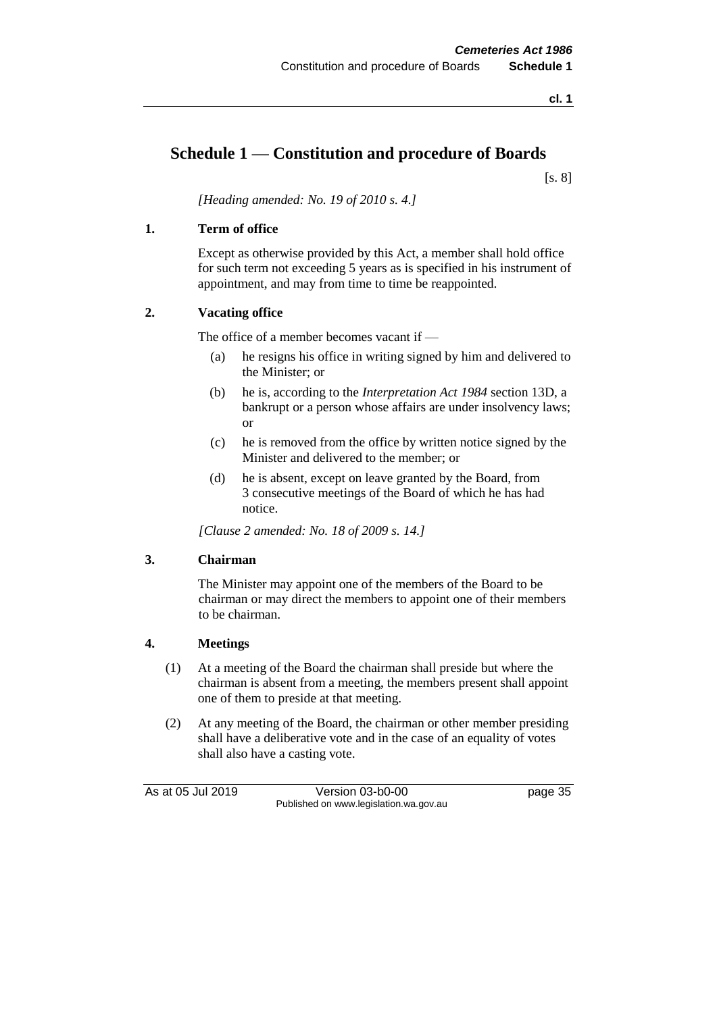# **Schedule 1 — Constitution and procedure of Boards**

[s. 8]

*[Heading amended: No. 19 of 2010 s. 4.]*

#### **1. Term of office**

Except as otherwise provided by this Act, a member shall hold office for such term not exceeding 5 years as is specified in his instrument of appointment, and may from time to time be reappointed.

#### **2. Vacating office**

The office of a member becomes vacant if —

- (a) he resigns his office in writing signed by him and delivered to the Minister; or
- (b) he is, according to the *Interpretation Act 1984* section 13D, a bankrupt or a person whose affairs are under insolvency laws; or
- (c) he is removed from the office by written notice signed by the Minister and delivered to the member; or
- (d) he is absent, except on leave granted by the Board, from 3 consecutive meetings of the Board of which he has had notice.

*[Clause 2 amended: No. 18 of 2009 s. 14.]*

#### **3. Chairman**

The Minister may appoint one of the members of the Board to be chairman or may direct the members to appoint one of their members to be chairman.

#### **4. Meetings**

- (1) At a meeting of the Board the chairman shall preside but where the chairman is absent from a meeting, the members present shall appoint one of them to preside at that meeting.
- (2) At any meeting of the Board, the chairman or other member presiding shall have a deliberative vote and in the case of an equality of votes shall also have a casting vote.

As at 05 Jul 2019 Version 03-b0-00 page 35 Published on www.legislation.wa.gov.au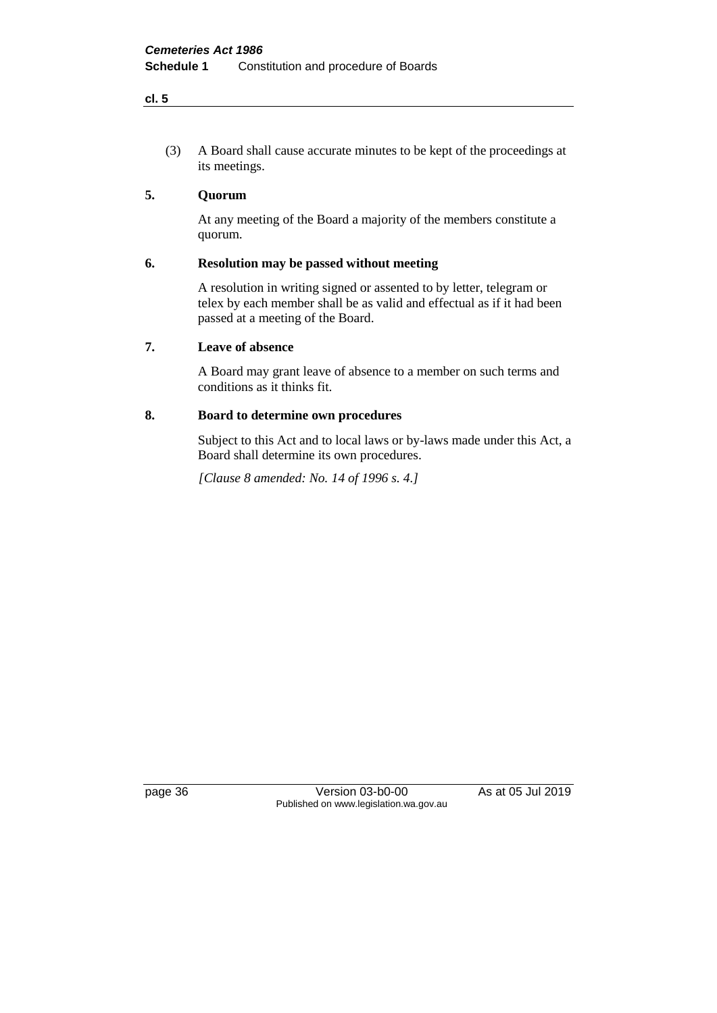#### **cl. 5**

(3) A Board shall cause accurate minutes to be kept of the proceedings at its meetings.

# **5. Quorum**

At any meeting of the Board a majority of the members constitute a quorum.

#### **6. Resolution may be passed without meeting**

A resolution in writing signed or assented to by letter, telegram or telex by each member shall be as valid and effectual as if it had been passed at a meeting of the Board.

#### **7. Leave of absence**

A Board may grant leave of absence to a member on such terms and conditions as it thinks fit.

#### **8. Board to determine own procedures**

Subject to this Act and to local laws or by-laws made under this Act, a Board shall determine its own procedures.

*[Clause 8 amended: No. 14 of 1996 s. 4.]*

page 36 Version 03-b0-00 As at 05 Jul 2019 Published on www.legislation.wa.gov.au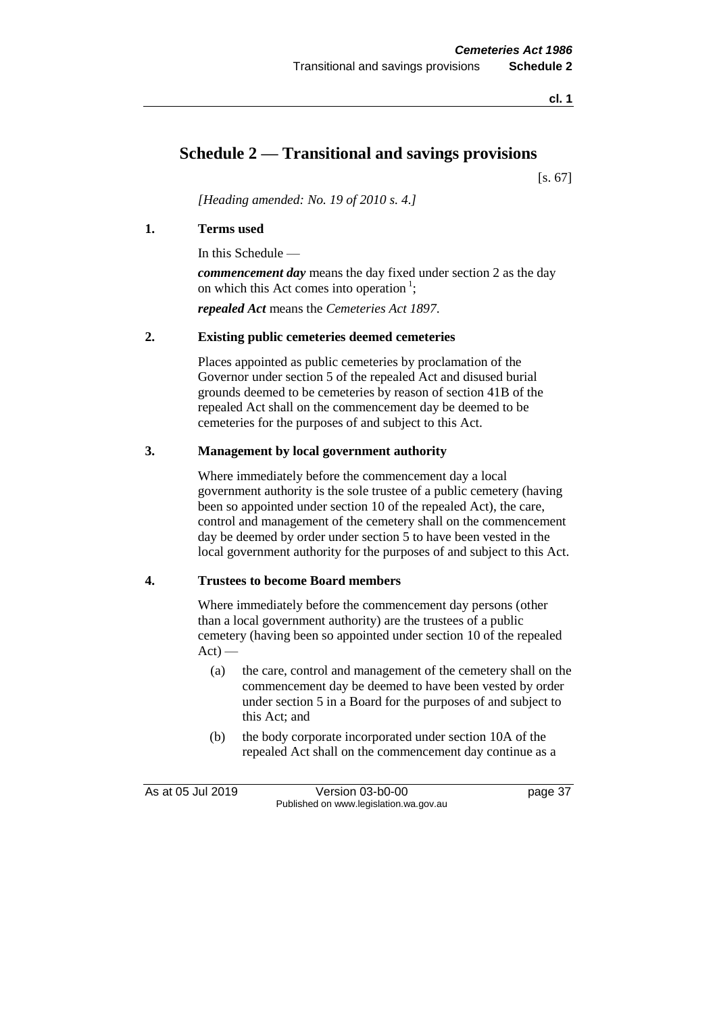**cl. 1**

# **Schedule 2 — Transitional and savings provisions**

[s. 67]

*[Heading amended: No. 19 of 2010 s. 4.]*

#### **1. Terms used**

In this Schedule —

*commencement day* means the day fixed under section 2 as the day on which this Act comes into operation<sup>1</sup>;

*repealed Act* means the *Cemeteries Act 1897*.

#### **2. Existing public cemeteries deemed cemeteries**

Places appointed as public cemeteries by proclamation of the Governor under section 5 of the repealed Act and disused burial grounds deemed to be cemeteries by reason of section 41B of the repealed Act shall on the commencement day be deemed to be cemeteries for the purposes of and subject to this Act.

#### **3. Management by local government authority**

Where immediately before the commencement day a local government authority is the sole trustee of a public cemetery (having been so appointed under section 10 of the repealed Act), the care, control and management of the cemetery shall on the commencement day be deemed by order under section 5 to have been vested in the local government authority for the purposes of and subject to this Act.

#### **4. Trustees to become Board members**

Where immediately before the commencement day persons (other than a local government authority) are the trustees of a public cemetery (having been so appointed under section 10 of the repealed  $Act$ ) —

- (a) the care, control and management of the cemetery shall on the commencement day be deemed to have been vested by order under section 5 in a Board for the purposes of and subject to this Act; and
- (b) the body corporate incorporated under section 10A of the repealed Act shall on the commencement day continue as a

As at 05 Jul 2019 Version 03-b0-00 page 37 Published on www.legislation.wa.gov.au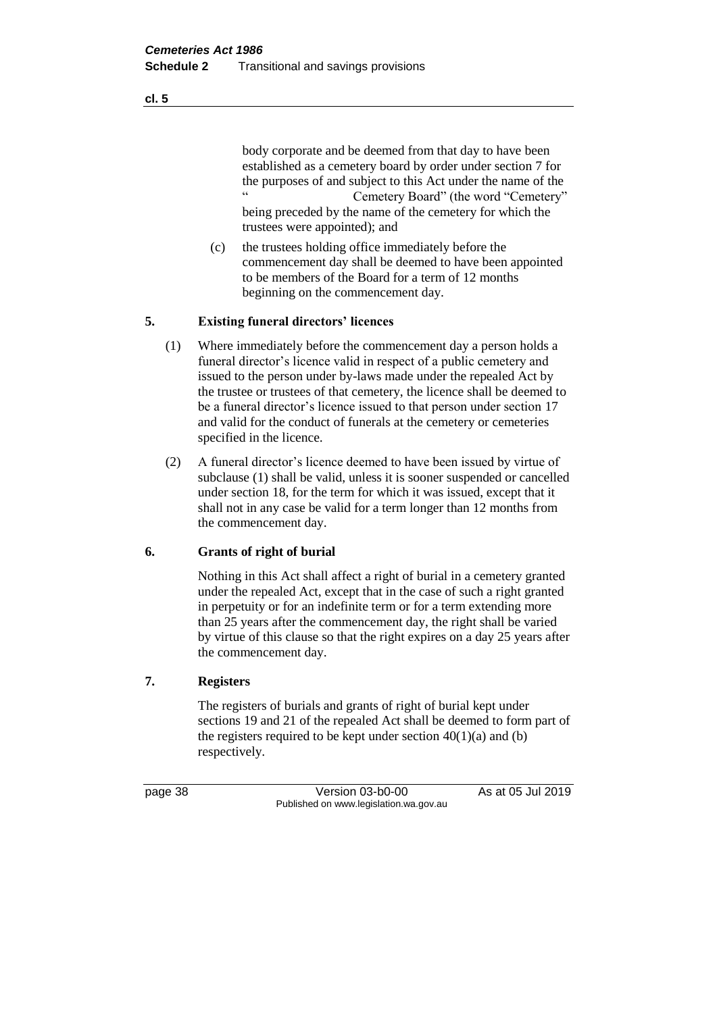body corporate and be deemed from that day to have been established as a cemetery board by order under section 7 for the purposes of and subject to this Act under the name of the<br>
"Comptom: Board" (the word "Comptom") Cemetery Board" (the word "Cemetery" being preceded by the name of the cemetery for which the trustees were appointed); and

(c) the trustees holding office immediately before the commencement day shall be deemed to have been appointed to be members of the Board for a term of 12 months beginning on the commencement day.

#### **5. Existing funeral directors' licences**

- (1) Where immediately before the commencement day a person holds a funeral director's licence valid in respect of a public cemetery and issued to the person under by-laws made under the repealed Act by the trustee or trustees of that cemetery, the licence shall be deemed to be a funeral director's licence issued to that person under section 17 and valid for the conduct of funerals at the cemetery or cemeteries specified in the licence.
- (2) A funeral director's licence deemed to have been issued by virtue of subclause (1) shall be valid, unless it is sooner suspended or cancelled under section 18, for the term for which it was issued, except that it shall not in any case be valid for a term longer than 12 months from the commencement day.

#### **6. Grants of right of burial**

Nothing in this Act shall affect a right of burial in a cemetery granted under the repealed Act, except that in the case of such a right granted in perpetuity or for an indefinite term or for a term extending more than 25 years after the commencement day, the right shall be varied by virtue of this clause so that the right expires on a day 25 years after the commencement day.

# **7. Registers**

The registers of burials and grants of right of burial kept under sections 19 and 21 of the repealed Act shall be deemed to form part of the registers required to be kept under section  $40(1)(a)$  and (b) respectively.

page 38 Version 03-b0-00 As at 05 Jul 2019 Published on www.legislation.wa.gov.au

**cl. 5**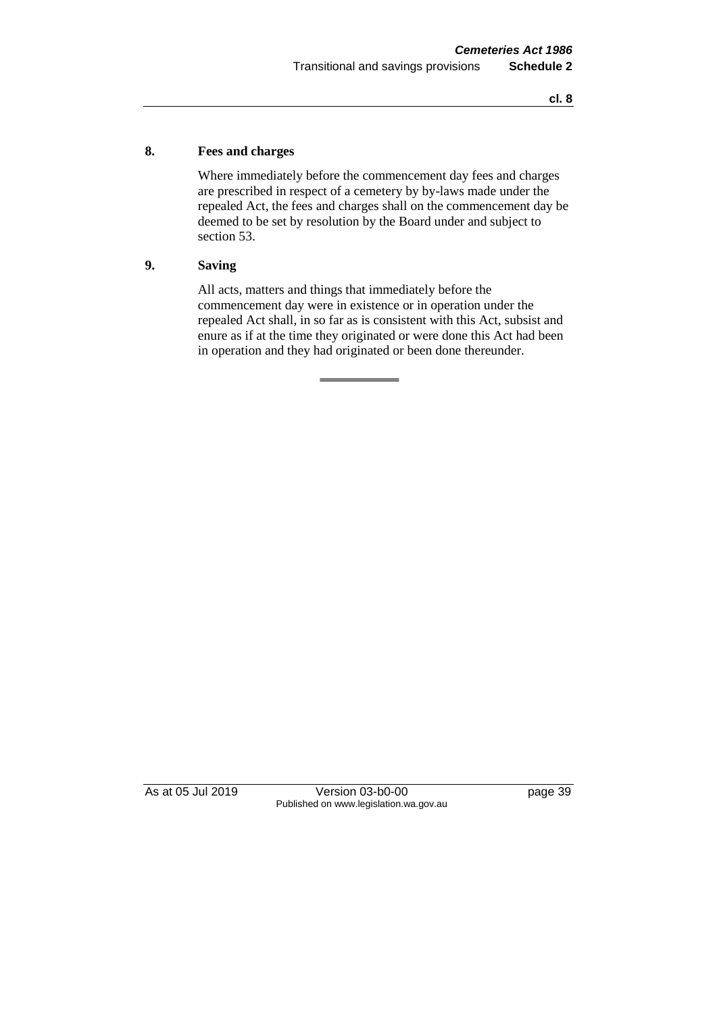#### **8. Fees and charges**

Where immediately before the commencement day fees and charges are prescribed in respect of a cemetery by by-laws made under the repealed Act, the fees and charges shall on the commencement day be deemed to be set by resolution by the Board under and subject to section 53.

#### **9. Saving**

All acts, matters and things that immediately before the commencement day were in existence or in operation under the repealed Act shall, in so far as is consistent with this Act, subsist and enure as if at the time they originated or were done this Act had been in operation and they had originated or been done thereunder.

As at 05 Jul 2019 Version 03-b0-00 page 39 Published on www.legislation.wa.gov.au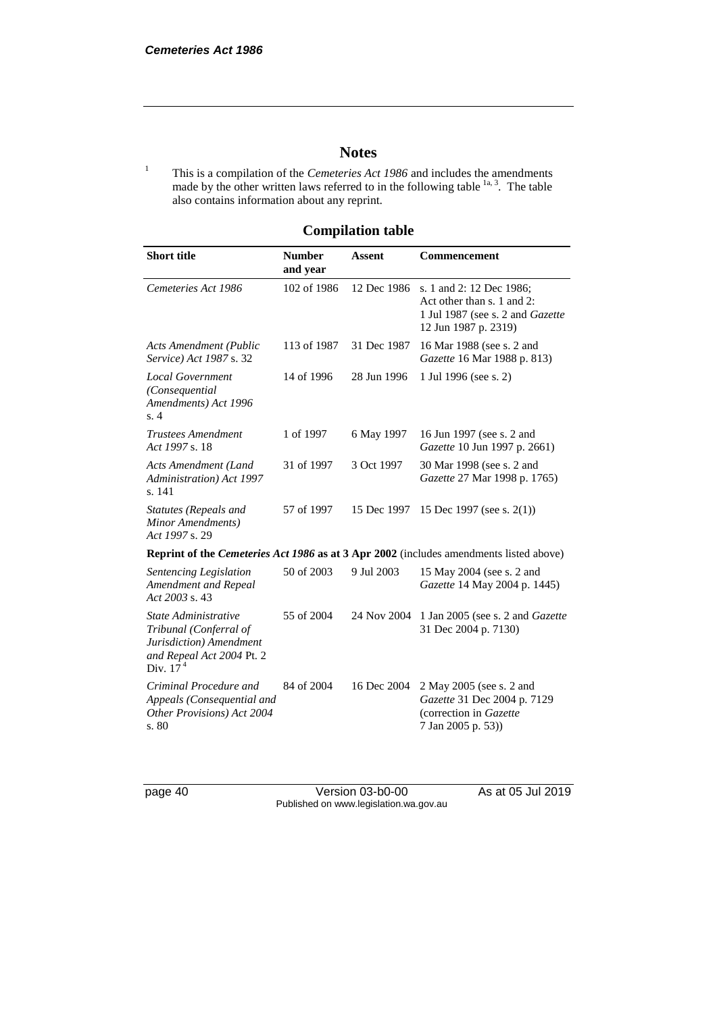# **Notes**

<sup>1</sup> This is a compilation of the *Cemeteries Act 1986* and includes the amendments made by the other written laws referred to in the following table  $1a, 3$ . The table also contains information about any reprint.

# **Compilation table**

| <b>Short title</b>                                                                                                   | <b>Number</b><br>and year | <b>Assent</b> | <b>Commencement</b>                                                                                                       |
|----------------------------------------------------------------------------------------------------------------------|---------------------------|---------------|---------------------------------------------------------------------------------------------------------------------------|
| Cemeteries Act 1986                                                                                                  | 102 of 1986               | 12 Dec 1986   | s. 1 and 2: 12 Dec 1986;<br>Act other than s. 1 and 2:<br>1 Jul 1987 (see s. 2 and <i>Gazette</i><br>12 Jun 1987 p. 2319) |
| <b>Acts Amendment (Public</b><br>Service) Act 1987 s. 32                                                             | 113 of 1987               | 31 Dec 1987   | 16 Mar 1988 (see s. 2 and<br>Gazette 16 Mar 1988 p. 813)                                                                  |
| <b>Local Government</b><br>(Consequential<br>Amendments) Act 1996<br>s.4                                             | 14 of 1996                | 28 Jun 1996   | 1 Jul 1996 (see s. 2)                                                                                                     |
| <b>Trustees Amendment</b><br>Act 1997 s. 18                                                                          | 1 of 1997                 | 6 May 1997    | 16 Jun 1997 (see s. 2 and<br>Gazette 10 Jun 1997 p. 2661)                                                                 |
| <b>Acts Amendment (Land</b><br>Administration) Act 1997<br>s. 141                                                    | 31 of 1997                | 3 Oct 1997    | 30 Mar 1998 (see s. 2 and<br>Gazette 27 Mar 1998 p. 1765)                                                                 |
| Statutes (Repeals and<br>Minor Amendments)<br>Act 1997 s. 29                                                         | 57 of 1997                | 15 Dec 1997   | 15 Dec 1997 (see s. $2(1)$ )                                                                                              |
|                                                                                                                      |                           |               | <b>Reprint of the Cemeteries Act 1986 as at 3 Apr 2002</b> (includes amendments listed above)                             |
| Sentencing Legislation<br>Amendment and Repeal<br>Act 2003 s. 43                                                     | 50 of 2003                | 9 Jul 2003    | 15 May 2004 (see s. 2 and<br>Gazette 14 May 2004 p. 1445)                                                                 |
| State Administrative<br>Tribunal (Conferral of<br>Jurisdiction) Amendment<br>and Repeal Act 2004 Pt. 2<br>Div. $174$ | 55 of 2004                |               | 24 Nov 2004 1 Jan 2005 (see s. 2 and Gazette<br>31 Dec 2004 p. 7130)                                                      |
| Criminal Procedure and<br>Appeals (Consequential and<br>Other Provisions) Act 2004<br>s. 80                          | 84 of 2004                | 16 Dec 2004   | 2 May 2005 (see s. 2 and<br>Gazette 31 Dec 2004 p. 7129<br>(correction in Gazette<br>7 Jan 2005 p. 53))                   |

page 40 Version 03-b0-00 As at 05 Jul 2019 Published on www.legislation.wa.gov.au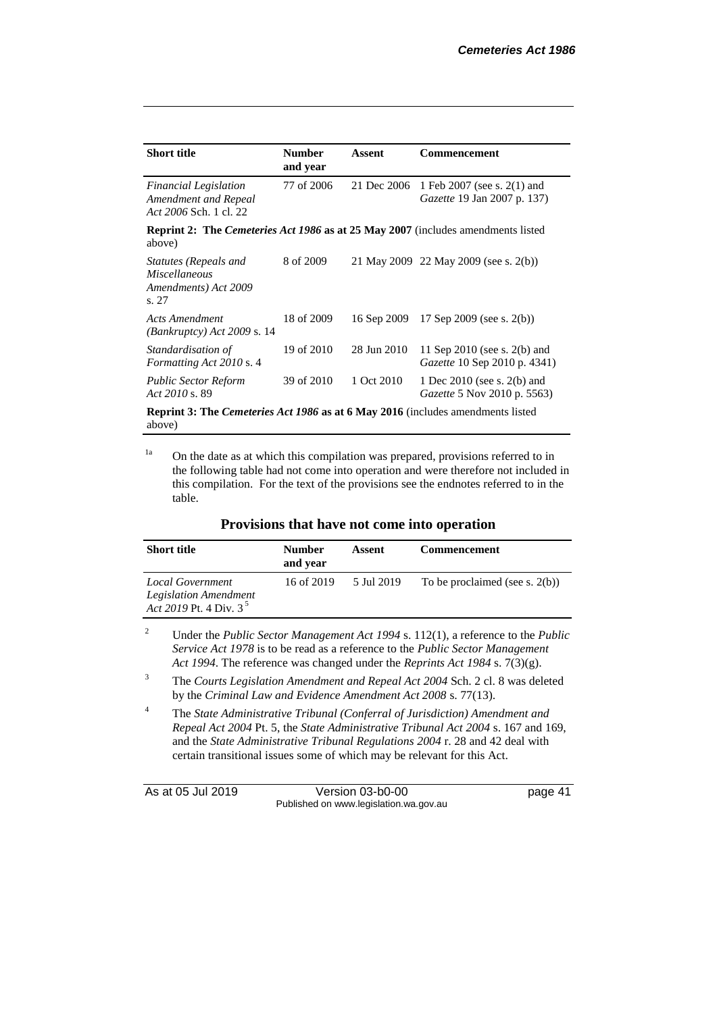| <b>Short title</b>                                                                                       | <b>Number</b><br>and year | Assent      | Commencement                                                      |
|----------------------------------------------------------------------------------------------------------|---------------------------|-------------|-------------------------------------------------------------------|
| <b>Financial Legislation</b><br>Amendment and Repeal<br>Act 2006 Sch. 1 cl. 22                           | 77 of 2006                | 21 Dec 2006 | 1 Feb 2007 (see s. 2(1) and<br><i>Gazette</i> 19 Jan 2007 p. 137) |
| <b>Reprint 2:</b> The <i>Cemeteries Act 1986</i> as at 25 May 2007 (includes amendments listed<br>above) |                           |             |                                                                   |
| Statutes (Repeals and<br><i>Miscellaneous</i><br>Amendments) Act 2009<br>s. 27                           | 8 of 2009                 |             | 21 May 2009 22 May 2009 (see s. 2(b))                             |
| <b>Acts Amendment</b><br>$(Bankruptcy)$ Act 2009 s. 14                                                   | 18 of 2009                | 16 Sep 2009 | 17 Sep 2009 (see s. $2(b)$ )                                      |
| Standardisation of<br>Formatting Act 2010 s. 4                                                           | 19 of 2010                | 28 Jun 2010 | 11 Sep 2010 (see s. 2(b) and<br>Gazette 10 Sep 2010 p. 4341)      |
| <b>Public Sector Reform</b><br>Act 2010 s. 89                                                            | 39 of 2010                | 1 Oct 2010  | 1 Dec 2010 (see s. 2(b) and<br><i>Gazette</i> 5 Nov 2010 p. 5563) |
| <b>Reprint 3: The Cemeteries Act 1986 as at 6 May 2016</b> (includes amendments listed<br>above)         |                           |             |                                                                   |

<sup>1a</sup> On the date as at which this compilation was prepared, provisions referred to in the following table had not come into operation and were therefore not included in this compilation. For the text of the provisions see the endnotes referred to in the table.

| <b>Short title</b>                                                            | <b>Number</b><br>and year | Assent     | <b>Commencement</b>               |
|-------------------------------------------------------------------------------|---------------------------|------------|-----------------------------------|
| Local Government<br><b>Legislation Amendment</b><br>Act 2019 Pt. 4 Div. $3^5$ | 16 of 2019                | 5 Jul 2019 | To be proclaimed (see s. $2(b)$ ) |

#### **Provisions that have not come into operation**

<sup>2</sup> Under the *Public Sector Management Act 1994* s. 112(1), a reference to the *Public Service Act 1978* is to be read as a reference to the *Public Sector Management Act 1994*. The reference was changed under the *Reprints Act 1984* s. 7(3)(g).

- <sup>3</sup> The *Courts Legislation Amendment and Repeal Act 2004* Sch. 2 cl. 8 was deleted by the *Criminal Law and Evidence Amendment Act 2008* s. 77(13).
- <sup>4</sup> The *State Administrative Tribunal (Conferral of Jurisdiction) Amendment and Repeal Act 2004* Pt. 5, the *State Administrative Tribunal Act 2004* s. 167 and 169, and the *State Administrative Tribunal Regulations 2004* r. 28 and 42 deal with certain transitional issues some of which may be relevant for this Act.

As at 05 Jul 2019 Version 03-b0-00 page 41 Published on www.legislation.wa.gov.au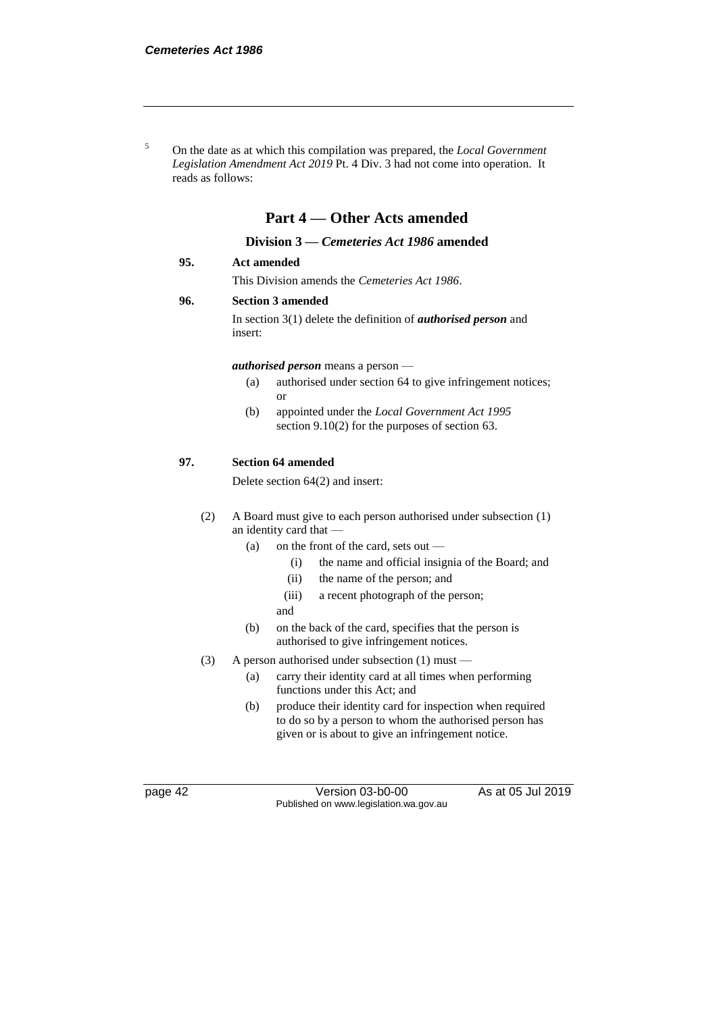<sup>5</sup> On the date as at which this compilation was prepared, the *Local Government Legislation Amendment Act 2019* Pt. 4 Div. 3 had not come into operation. It reads as follows:

# **Part 4 — Other Acts amended**

#### **Division 3 —** *Cemeteries Act 1986* **amended**

#### **95. Act amended**

This Division amends the *Cemeteries Act 1986*.

#### **96. Section 3 amended**

In section 3(1) delete the definition of *authorised person* and insert:

#### *authorised person* means a person —

- (a) authorised under section 64 to give infringement notices; or
- (b) appointed under the *Local Government Act 1995* section 9.10(2) for the purposes of section 63.

#### **97. Section 64 amended**

Delete section 64(2) and insert:

- (2) A Board must give to each person authorised under subsection (1) an identity card that —
	- (a) on the front of the card, sets out
		- (i) the name and official insignia of the Board; and
		- (ii) the name of the person; and
		- (iii) a recent photograph of the person;
		- and
	- (b) on the back of the card, specifies that the person is authorised to give infringement notices.
- (3) A person authorised under subsection (1) must
	- (a) carry their identity card at all times when performing functions under this Act; and
	- (b) produce their identity card for inspection when required to do so by a person to whom the authorised person has given or is about to give an infringement notice.

page 42 Version 03-b0-00 As at 05 Jul 2019 Published on www.legislation.wa.gov.au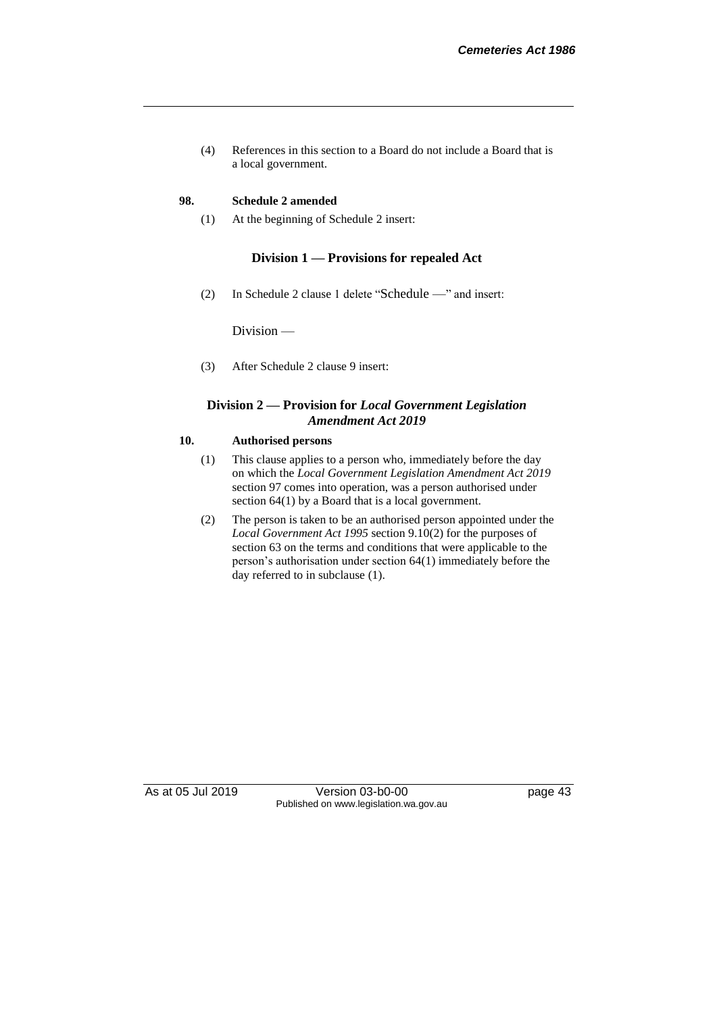(4) References in this section to a Board do not include a Board that is a local government.

#### **98. Schedule 2 amended**

(1) At the beginning of Schedule 2 insert:

#### **Division 1 — Provisions for repealed Act**

(2) In Schedule 2 clause 1 delete "Schedule —" and insert:

Division —

(3) After Schedule 2 clause 9 insert:

#### **Division 2 — Provision for** *Local Government Legislation Amendment Act 2019*

#### **10. Authorised persons**

- (1) This clause applies to a person who, immediately before the day on which the *Local Government Legislation Amendment Act 2019* section 97 comes into operation, was a person authorised under section 64(1) by a Board that is a local government.
- (2) The person is taken to be an authorised person appointed under the *Local Government Act 1995* section 9.10(2) for the purposes of section 63 on the terms and conditions that were applicable to the person's authorisation under section 64(1) immediately before the day referred to in subclause (1).

As at 05 Jul 2019 Version 03-b0-00 page 43 Published on www.legislation.wa.gov.au